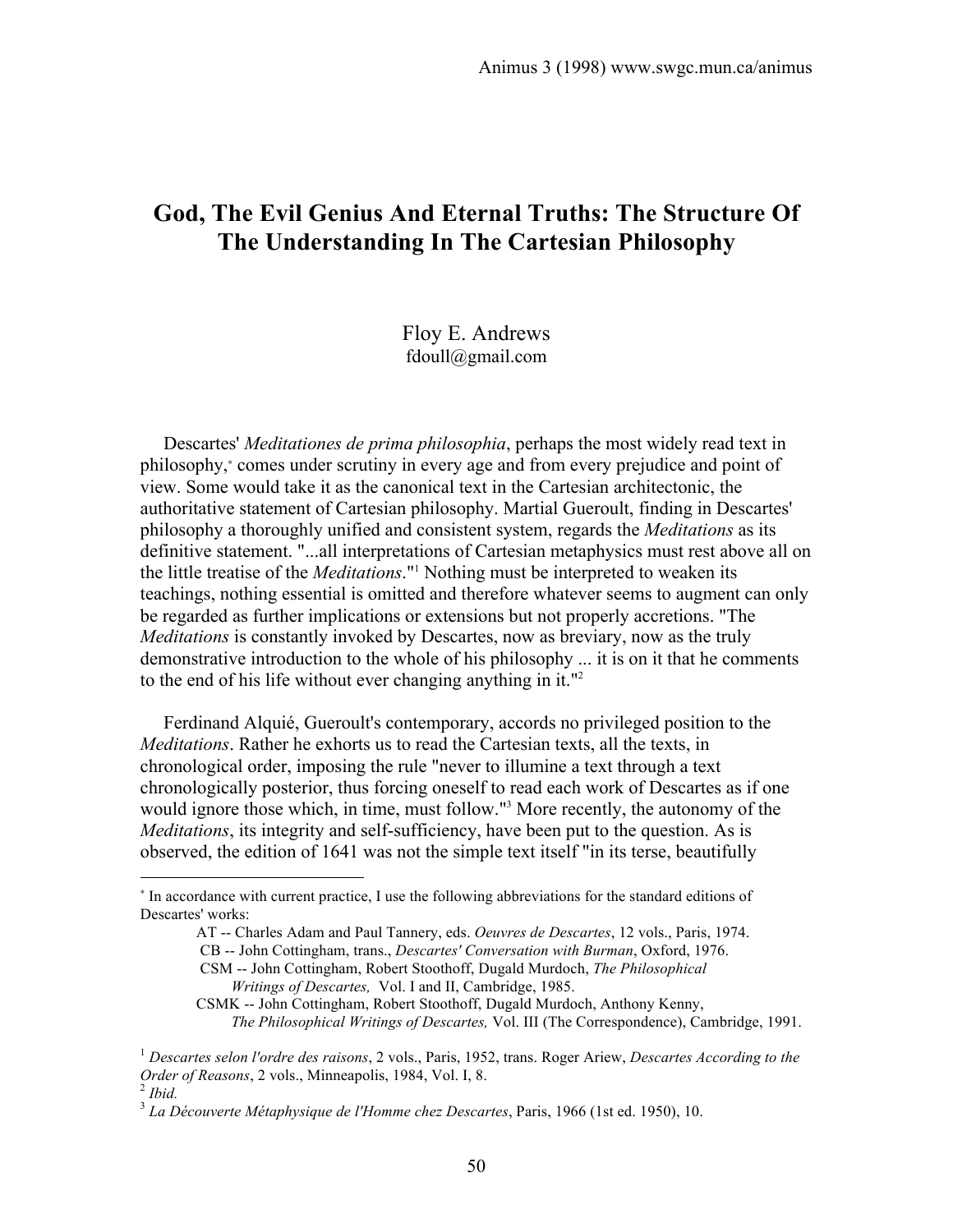# **God, The Evil Genius And Eternal Truths: The Structure Of The Understanding In The Cartesian Philosophy**

Floy E. Andrews fdoull@gmail.com

 Descartes' *Meditationes de prima philosophia*, perhaps the most widely read text in philosophy,<sup>∗</sup> comes under scrutiny in every age and from every prejudice and point of view. Some would take it as the canonical text in the Cartesian architectonic, the authoritative statement of Cartesian philosophy. Martial Gueroult, finding in Descartes' philosophy a thoroughly unified and consistent system, regards the *Meditations* as its definitive statement. "...all interpretations of Cartesian metaphysics must rest above all on the little treatise of the *Meditations*."1 Nothing must be interpreted to weaken its teachings, nothing essential is omitted and therefore whatever seems to augment can only be regarded as further implications or extensions but not properly accretions. "The *Meditations* is constantly invoked by Descartes, now as breviary, now as the truly demonstrative introduction to the whole of his philosophy ... it is on it that he comments to the end of his life without ever changing anything in it."2

 Ferdinand Alquié, Gueroult's contemporary, accords no privileged position to the *Meditations*. Rather he exhorts us to read the Cartesian texts, all the texts, in chronological order, imposing the rule "never to illumine a text through a text chronologically posterior, thus forcing oneself to read each work of Descartes as if one would ignore those which, in time, must follow."3 More recently, the autonomy of the *Meditations*, its integrity and self-sufficiency, have been put to the question. As is observed, the edition of 1641 was not the simple text itself "in its terse, beautifully

 $\overline{a}$ 

<sup>∗</sup> In accordance with current practice, I use the following abbreviations for the standard editions of Descartes' works:

AT -- Charles Adam and Paul Tannery, eds. *Oeuvres de Descartes*, 12 vols., Paris, 1974. CB -- John Cottingham, trans., *Descartes' Conversation with Burman*, Oxford, 1976. CSM -- John Cottingham, Robert Stoothoff, Dugald Murdoch, *The Philosophical*

*Writings of Descartes,* Vol. I and II, Cambridge, 1985.

CSMK -- John Cottingham, Robert Stoothoff, Dugald Murdoch, Anthony Kenny, *The Philosophical Writings of Descartes,* Vol. III (The Correspondence), Cambridge, 1991.

<sup>1</sup> *Descartes selon l'ordre des raisons*, 2 vols., Paris, 1952, trans. Roger Ariew, *Descartes According to the Order of Reasons*, 2 vols., Minneapolis, 1984, Vol. I, 8. <sup>2</sup> *Ibid.*

<sup>3</sup> *La Découverte Métaphysique de l'Homme chez Descartes*, Paris, 1966 (1st ed. 1950), 10.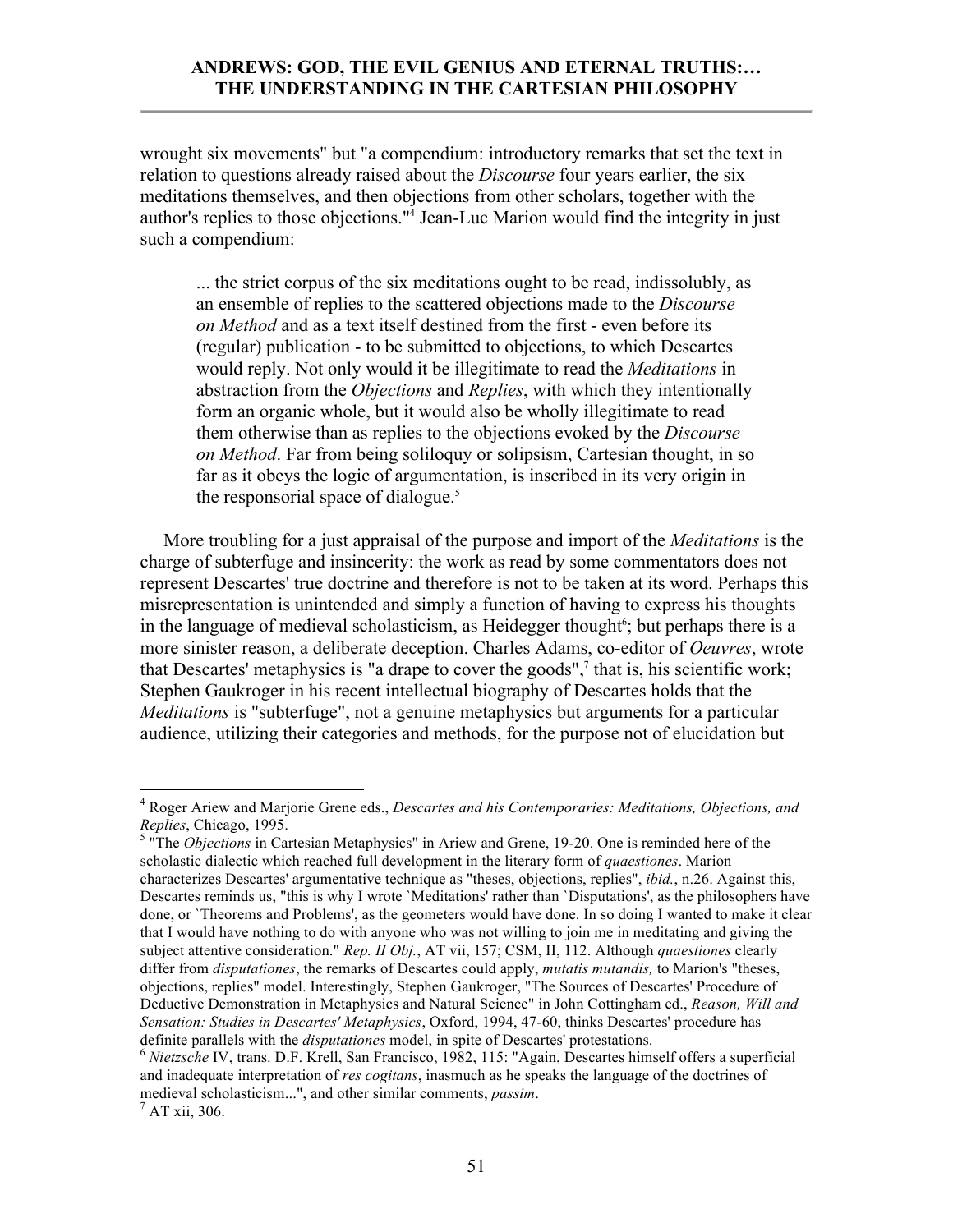wrought six movements" but "a compendium: introductory remarks that set the text in relation to questions already raised about the *Discourse* four years earlier, the six meditations themselves, and then objections from other scholars, together with the author's replies to those objections."4 Jean-Luc Marion would find the integrity in just such a compendium:

... the strict corpus of the six meditations ought to be read, indissolubly, as an ensemble of replies to the scattered objections made to the *Discourse on Method* and as a text itself destined from the first - even before its (regular) publication - to be submitted to objections, to which Descartes would reply. Not only would it be illegitimate to read the *Meditations* in abstraction from the *Objections* and *Replies*, with which they intentionally form an organic whole, but it would also be wholly illegitimate to read them otherwise than as replies to the objections evoked by the *Discourse on Method*. Far from being soliloquy or solipsism, Cartesian thought, in so far as it obeys the logic of argumentation, is inscribed in its very origin in the responsorial space of dialogue. $5$ 

 More troubling for a just appraisal of the purpose and import of the *Meditations* is the charge of subterfuge and insincerity: the work as read by some commentators does not represent Descartes' true doctrine and therefore is not to be taken at its word. Perhaps this misrepresentation is unintended and simply a function of having to express his thoughts in the language of medieval scholasticism, as Heidegger thought<sup>6</sup>; but perhaps there is a more sinister reason, a deliberate deception. Charles Adams, co-editor of *Oeuvres*, wrote that Descartes' metaphysics is "a drape to cover the goods", $\frac{7}{1}$  that is, his scientific work; Stephen Gaukroger in his recent intellectual biography of Descartes holds that the *Meditations* is "subterfuge", not a genuine metaphysics but arguments for a particular audience, utilizing their categories and methods, for the purpose not of elucidation but

 $\frac{1}{4}$  Roger Ariew and Marjorie Grene eds., *Descartes and his Contemporaries: Meditations, Objections, and Replies*, Chicago, 1995.

<sup>&</sup>lt;sup>5</sup> "The *Objections* in Cartesian Metaphysics" in Ariew and Grene, 19-20. One is reminded here of the scholastic dialectic which reached full development in the literary form of *quaestiones*. Marion characterizes Descartes' argumentative technique as "theses, objections, replies", *ibid.*, n.26. Against this, Descartes reminds us, "this is why I wrote `Meditations' rather than `Disputations', as the philosophers have done, or `Theorems and Problems', as the geometers would have done. In so doing I wanted to make it clear that I would have nothing to do with anyone who was not willing to join me in meditating and giving the subject attentive consideration." *Rep. II Obj.*, AT vii, 157; CSM, II, 112. Although *quaestiones* clearly differ from *disputationes*, the remarks of Descartes could apply, *mutatis mutandis,* to Marion's "theses, objections, replies" model. Interestingly, Stephen Gaukroger, "The Sources of Descartes' Procedure of Deductive Demonstration in Metaphysics and Natural Science" in John Cottingham ed., *Reason, Will and Sensation: Studies in Descartes' Metaphysics*, Oxford, 1994, 47-60, thinks Descartes' procedure has definite parallels with the *disputationes* model, in spite of Descartes' protestations. <sup>6</sup> *Nietzsche* IV, trans. D.F. Krell, San Francisco, 1982, 115: "Again, Descartes himself offers a superficial

and inadequate interpretation of *res cogitans*, inasmuch as he speaks the language of the doctrines of medieval scholasticism...", and other similar comments, *passim*. <sup>7</sup>

 $7$  AT xii, 306.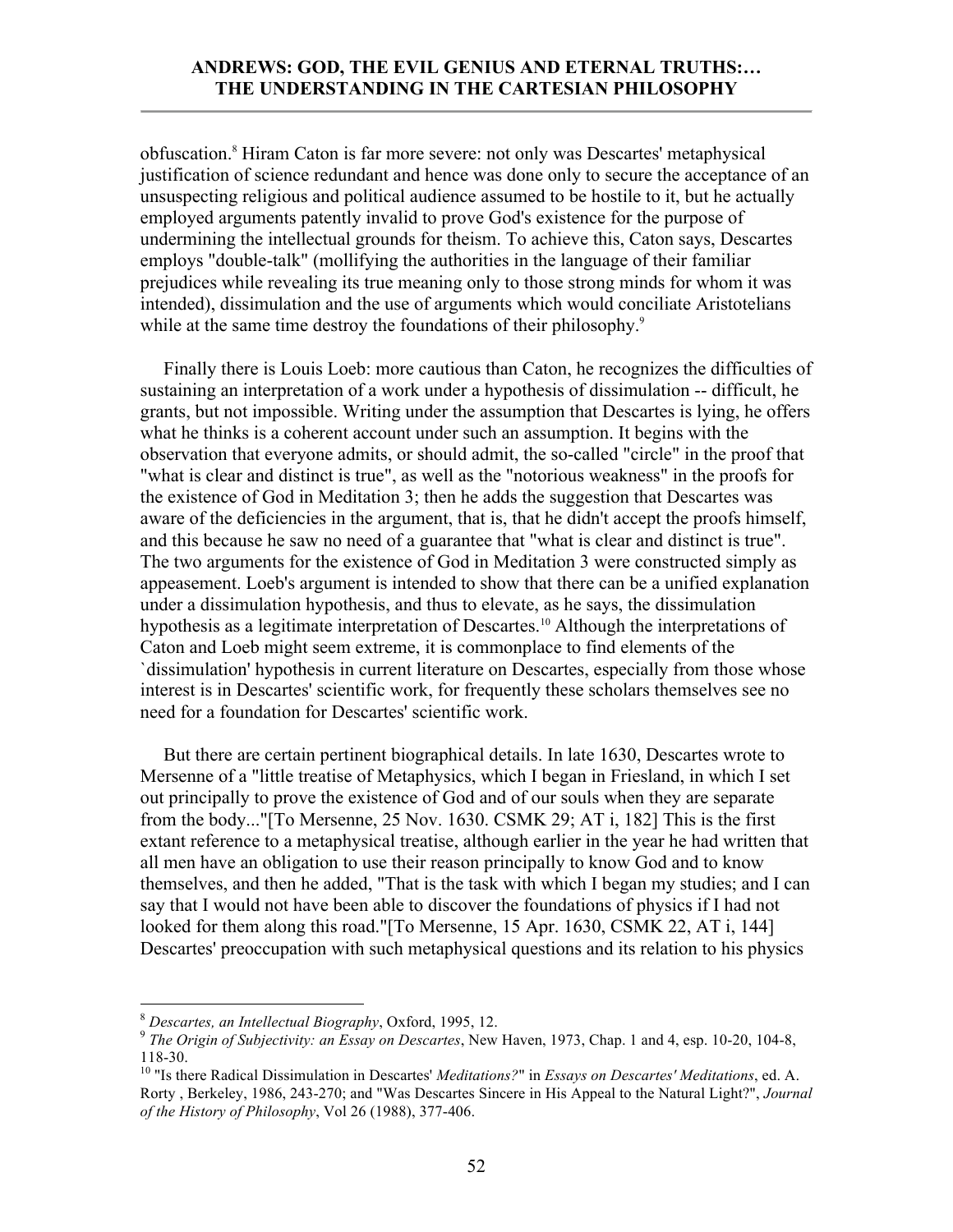obfuscation.8 Hiram Caton is far more severe: not only was Descartes' metaphysical justification of science redundant and hence was done only to secure the acceptance of an unsuspecting religious and political audience assumed to be hostile to it, but he actually employed arguments patently invalid to prove God's existence for the purpose of undermining the intellectual grounds for theism. To achieve this, Caton says, Descartes employs "double-talk" (mollifying the authorities in the language of their familiar prejudices while revealing its true meaning only to those strong minds for whom it was intended), dissimulation and the use of arguments which would conciliate Aristotelians while at the same time destroy the foundations of their philosophy.<sup>9</sup>

 Finally there is Louis Loeb: more cautious than Caton, he recognizes the difficulties of sustaining an interpretation of a work under a hypothesis of dissimulation -- difficult, he grants, but not impossible. Writing under the assumption that Descartes is lying, he offers what he thinks is a coherent account under such an assumption. It begins with the observation that everyone admits, or should admit, the so-called "circle" in the proof that "what is clear and distinct is true", as well as the "notorious weakness" in the proofs for the existence of God in Meditation 3; then he adds the suggestion that Descartes was aware of the deficiencies in the argument, that is, that he didn't accept the proofs himself, and this because he saw no need of a guarantee that "what is clear and distinct is true". The two arguments for the existence of God in Meditation 3 were constructed simply as appeasement. Loeb's argument is intended to show that there can be a unified explanation under a dissimulation hypothesis, and thus to elevate, as he says, the dissimulation hypothesis as a legitimate interpretation of Descartes.<sup>10</sup> Although the interpretations of Caton and Loeb might seem extreme, it is commonplace to find elements of the `dissimulation' hypothesis in current literature on Descartes, especially from those whose interest is in Descartes' scientific work, for frequently these scholars themselves see no need for a foundation for Descartes' scientific work.

 But there are certain pertinent biographical details. In late 1630, Descartes wrote to Mersenne of a "little treatise of Metaphysics, which I began in Friesland, in which I set out principally to prove the existence of God and of our souls when they are separate from the body..."[To Mersenne, 25 Nov. 1630. CSMK 29; AT i, 182] This is the first extant reference to a metaphysical treatise, although earlier in the year he had written that all men have an obligation to use their reason principally to know God and to know themselves, and then he added, "That is the task with which I began my studies; and I can say that I would not have been able to discover the foundations of physics if I had not looked for them along this road."[To Mersenne, 15 Apr. 1630, CSMK 22, AT i, 144] Descartes' preoccupation with such metaphysical questions and its relation to his physics

<sup>8</sup> *Descartes, an Intellectual Biography*, Oxford, 1995, 12. <sup>9</sup> *The Origin of Subjectivity: an Essay on Descartes*, New Haven, 1973, Chap. 1 and 4, esp. 10-20, 104-8, 118-30. 10 "Is there Radical Dissimulation in Descartes' *Meditations?*" in *Essays on Descartes' Meditations*, ed. A.

Rorty , Berkeley, 1986, 243-270; and "Was Descartes Sincere in His Appeal to the Natural Light?", *Journal of the History of Philosophy*, Vol 26 (1988), 377-406.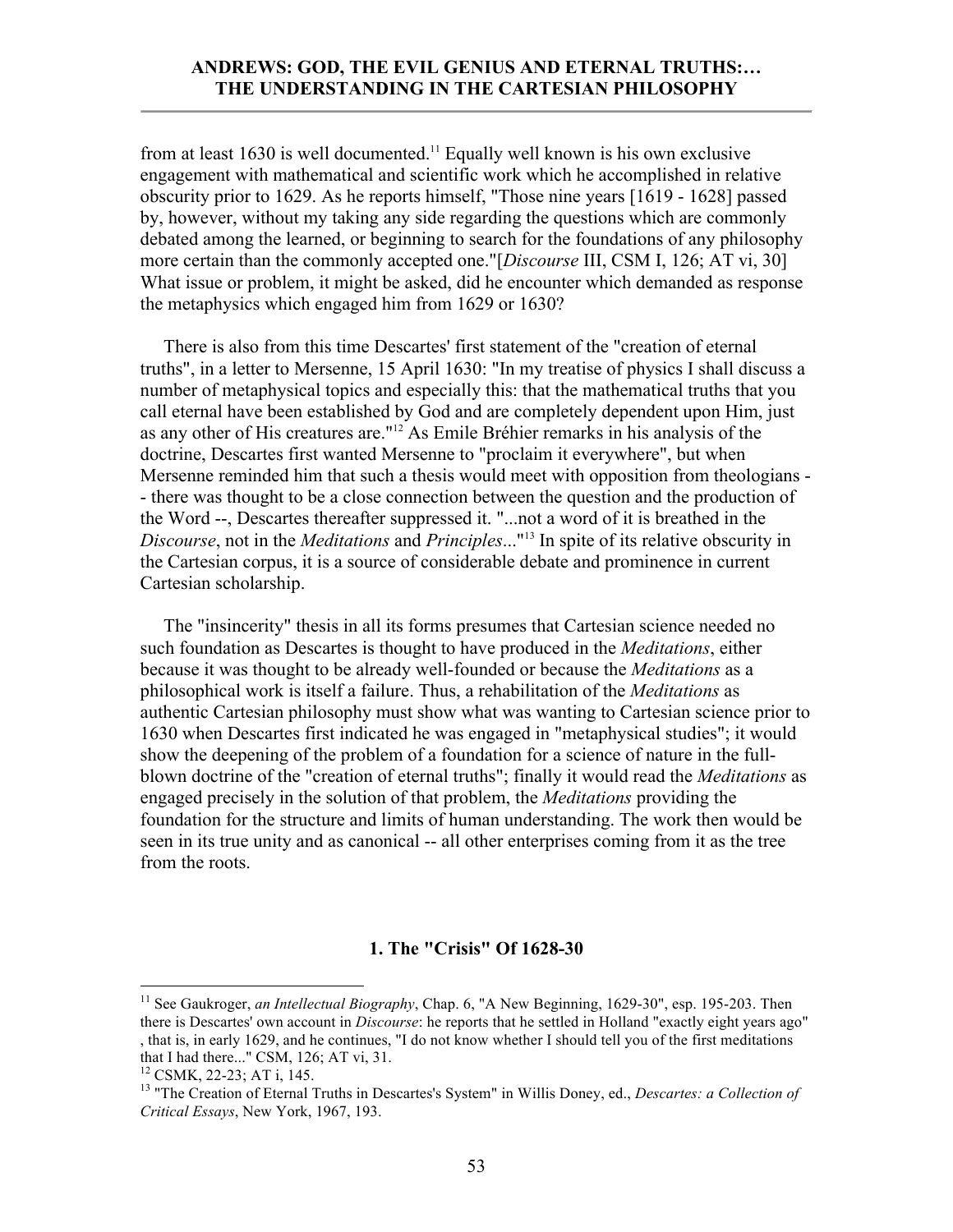from at least 1630 is well documented.<sup>11</sup> Equally well known is his own exclusive engagement with mathematical and scientific work which he accomplished in relative obscurity prior to 1629. As he reports himself, "Those nine years [1619 - 1628] passed by, however, without my taking any side regarding the questions which are commonly debated among the learned, or beginning to search for the foundations of any philosophy more certain than the commonly accepted one."[*Discourse* III, CSM I, 126; AT vi, 30] What issue or problem, it might be asked, did he encounter which demanded as response the metaphysics which engaged him from 1629 or 1630?

 There is also from this time Descartes' first statement of the "creation of eternal truths", in a letter to Mersenne, 15 April 1630: "In my treatise of physics I shall discuss a number of metaphysical topics and especially this: that the mathematical truths that you call eternal have been established by God and are completely dependent upon Him, just as any other of His creatures are."12 As Emile Bréhier remarks in his analysis of the doctrine, Descartes first wanted Mersenne to "proclaim it everywhere", but when Mersenne reminded him that such a thesis would meet with opposition from theologians - - there was thought to be a close connection between the question and the production of the Word --, Descartes thereafter suppressed it. "...not a word of it is breathed in the *Discourse*, not in the *Meditations* and *Principles*..."13 In spite of its relative obscurity in the Cartesian corpus, it is a source of considerable debate and prominence in current Cartesian scholarship.

 The "insincerity" thesis in all its forms presumes that Cartesian science needed no such foundation as Descartes is thought to have produced in the *Meditations*, either because it was thought to be already well-founded or because the *Meditations* as a philosophical work is itself a failure. Thus, a rehabilitation of the *Meditations* as authentic Cartesian philosophy must show what was wanting to Cartesian science prior to 1630 when Descartes first indicated he was engaged in "metaphysical studies"; it would show the deepening of the problem of a foundation for a science of nature in the fullblown doctrine of the "creation of eternal truths"; finally it would read the *Meditations* as engaged precisely in the solution of that problem, the *Meditations* providing the foundation for the structure and limits of human understanding. The work then would be seen in its true unity and as canonical -- all other enterprises coming from it as the tree from the roots.

#### **1. The "Crisis" Of 1628-30**

<sup>&</sup>lt;sup>11</sup> See Gaukroger, *an Intellectual Biography*, Chap. 6, "A New Beginning, 1629-30", esp. 195-203. Then there is Descartes' own account in *Discourse*: he reports that he settled in Holland "exactly eight years ago" , that is, in early 1629, and he continues, "I do not know whether I should tell you of the first meditations that I had there..." CSM, 126; AT vi, 31.

<sup>&</sup>lt;sup>12</sup> CSMK, 22-23; AT i, 145.<br><sup>13</sup> "The Creation of Eternal Truths in Descartes's System" in Willis Doney, ed., *Descartes: a Collection of Critical Essays*, New York, 1967, 193.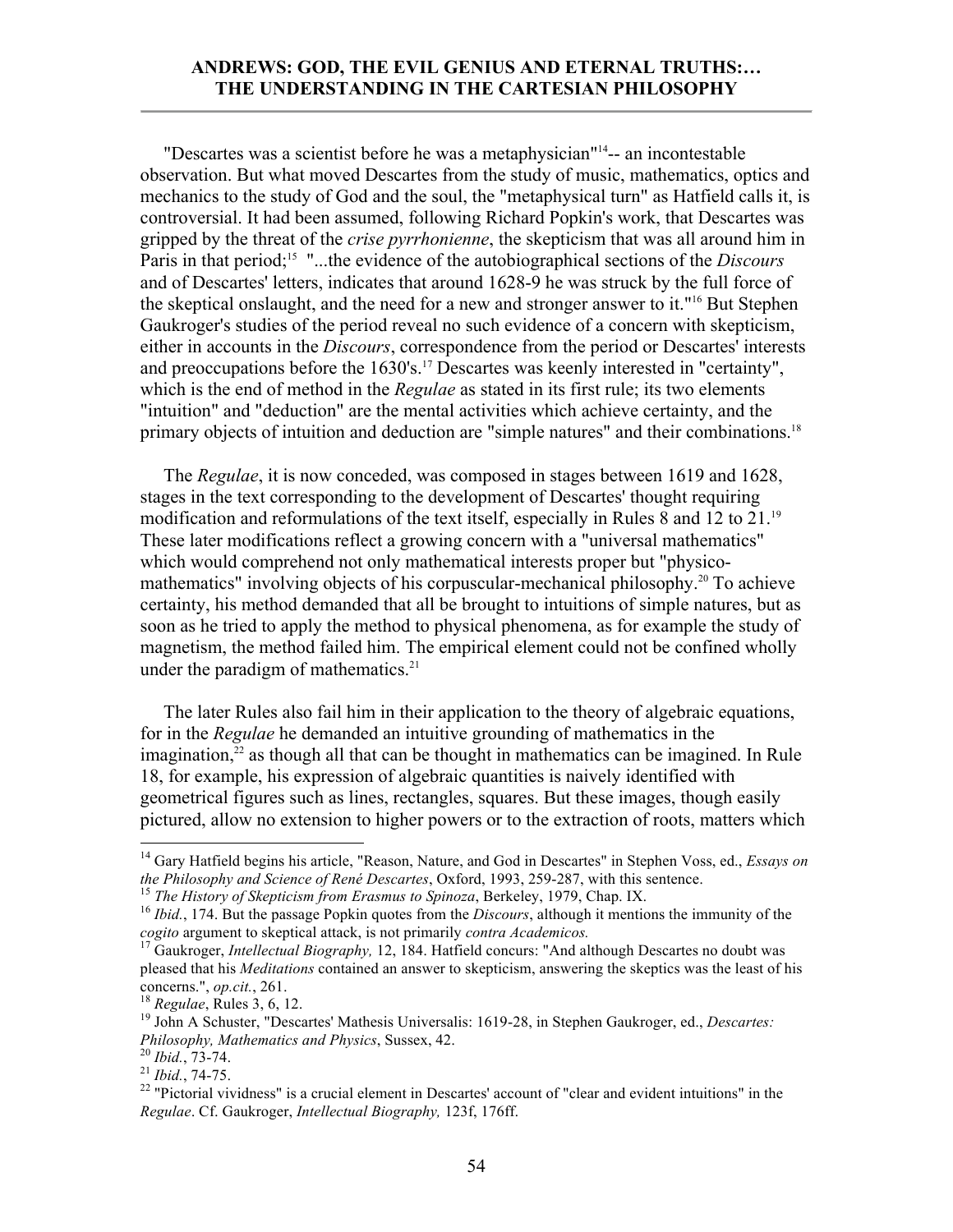"Descartes was a scientist before he was a metaphysician"14-- an incontestable observation. But what moved Descartes from the study of music, mathematics, optics and mechanics to the study of God and the soul, the "metaphysical turn" as Hatfield calls it, is controversial. It had been assumed, following Richard Popkin's work, that Descartes was gripped by the threat of the *crise pyrrhonienne*, the skepticism that was all around him in Paris in that period;<sup>15</sup> "...the evidence of the autobiographical sections of the *Discours* and of Descartes' letters, indicates that around 1628-9 he was struck by the full force of the skeptical onslaught, and the need for a new and stronger answer to it."16 But Stephen Gaukroger's studies of the period reveal no such evidence of a concern with skepticism, either in accounts in the *Discours*, correspondence from the period or Descartes' interests and preoccupations before the 1630's.<sup>17</sup> Descartes was keenly interested in "certainty", which is the end of method in the *Regulae* as stated in its first rule; its two elements "intuition" and "deduction" are the mental activities which achieve certainty, and the primary objects of intuition and deduction are "simple natures" and their combinations.<sup>18</sup>

 The *Regulae*, it is now conceded, was composed in stages between 1619 and 1628, stages in the text corresponding to the development of Descartes' thought requiring modification and reformulations of the text itself, especially in Rules 8 and 12 to 21.19 These later modifications reflect a growing concern with a "universal mathematics" which would comprehend not only mathematical interests proper but "physicomathematics" involving objects of his corpuscular-mechanical philosophy.<sup>20</sup> To achieve certainty, his method demanded that all be brought to intuitions of simple natures, but as soon as he tried to apply the method to physical phenomena, as for example the study of magnetism, the method failed him. The empirical element could not be confined wholly under the paradigm of mathematics. $21$ 

 The later Rules also fail him in their application to the theory of algebraic equations, for in the *Regulae* he demanded an intuitive grounding of mathematics in the  $\frac{1}{2}$  as though all that can be thought in mathematics can be imagined. In Rule 18, for example, his expression of algebraic quantities is naively identified with geometrical figures such as lines, rectangles, squares. But these images, though easily pictured, allow no extension to higher powers or to the extraction of roots, matters which

 <sup>14</sup> Gary Hatfield begins his article, "Reason, Nature, and God in Descartes" in Stephen Voss, ed., *Essays on* 

the Philosophy and Science of René Descartes, Oxford, 1993, 259-287, with this sentence.<br><sup>15</sup> The History of Skepticism from Erasmus to Spinoza, Berkeley, 1979, Chap. IX.<br><sup>16</sup> Ibid., 174. But the passage Popkin quotes from

<sup>&</sup>lt;sup>17</sup> Gaukroger, *Intellectual Biography*, 12, 184. Hatfield concurs: "And although Descartes no doubt was pleased that his *Meditations* contained an answer to skepticism, answering the skeptics was the least of his

<sup>&</sup>lt;sup>18</sup> Regulae, Rules 3, 6, 12.<br><sup>19</sup> John A Schuster, "Descartes' Mathesis Universalis: 1619-28, in Stephen Gaukroger, ed., *Descartes: Philosophy, Mathematics and Physics*, Sussex, 42.

<sup>&</sup>lt;sup>20</sup> *Ibid.*, 73-74.<br><sup>21</sup> *Ibid.*, 74-75.<br><sup>22</sup> "Pictorial vividness" is a crucial element in Descartes' account of "clear and evident intuitions" in the *Regulae*. Cf. Gaukroger, *Intellectual Biography,* 123f, 176ff.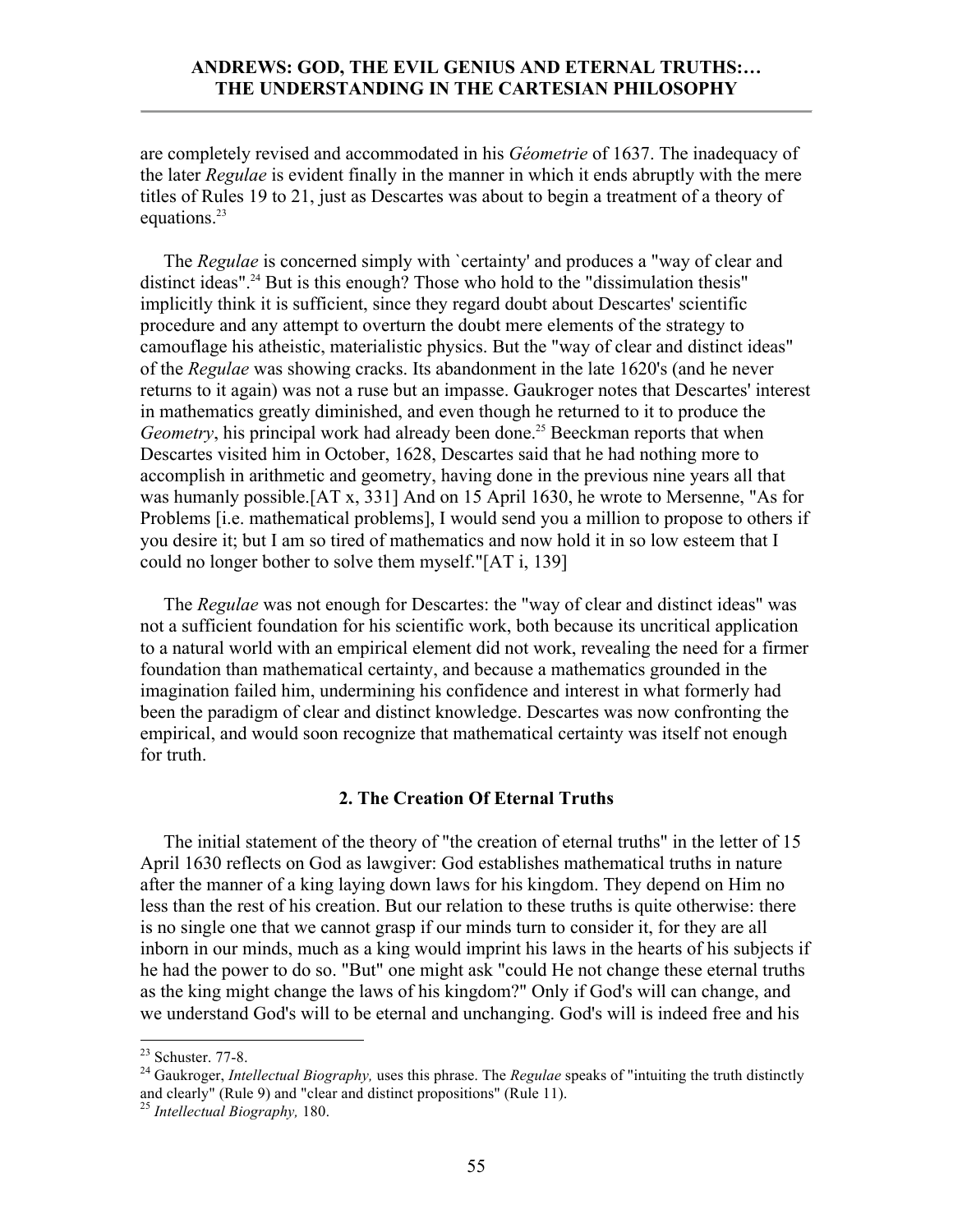are completely revised and accommodated in his *Géometrie* of 1637. The inadequacy of the later *Regulae* is evident finally in the manner in which it ends abruptly with the mere titles of Rules 19 to 21, just as Descartes was about to begin a treatment of a theory of equations.<sup>23</sup>

The *Regulae* is concerned simply with 'certainty' and produces a "way of clear and distinct ideas".<sup>24</sup> But is this enough? Those who hold to the "dissimulation thesis" implicitly think it is sufficient, since they regard doubt about Descartes' scientific procedure and any attempt to overturn the doubt mere elements of the strategy to camouflage his atheistic, materialistic physics. But the "way of clear and distinct ideas" of the *Regulae* was showing cracks. Its abandonment in the late 1620's (and he never returns to it again) was not a ruse but an impasse. Gaukroger notes that Descartes' interest in mathematics greatly diminished, and even though he returned to it to produce the *Geometry*, his principal work had already been done.<sup>25</sup> Beeckman reports that when Descartes visited him in October, 1628, Descartes said that he had nothing more to accomplish in arithmetic and geometry, having done in the previous nine years all that was humanly possible.[AT x, 331] And on 15 April 1630, he wrote to Mersenne, "As for Problems [i.e. mathematical problems], I would send you a million to propose to others if you desire it; but I am so tired of mathematics and now hold it in so low esteem that I could no longer bother to solve them myself."[AT i, 139]

 The *Regulae* was not enough for Descartes: the "way of clear and distinct ideas" was not a sufficient foundation for his scientific work, both because its uncritical application to a natural world with an empirical element did not work, revealing the need for a firmer foundation than mathematical certainty, and because a mathematics grounded in the imagination failed him, undermining his confidence and interest in what formerly had been the paradigm of clear and distinct knowledge. Descartes was now confronting the empirical, and would soon recognize that mathematical certainty was itself not enough for truth.

#### **2. The Creation Of Eternal Truths**

 The initial statement of the theory of "the creation of eternal truths" in the letter of 15 April 1630 reflects on God as lawgiver: God establishes mathematical truths in nature after the manner of a king laying down laws for his kingdom. They depend on Him no less than the rest of his creation. But our relation to these truths is quite otherwise: there is no single one that we cannot grasp if our minds turn to consider it, for they are all inborn in our minds, much as a king would imprint his laws in the hearts of his subjects if he had the power to do so. "But" one might ask "could He not change these eternal truths as the king might change the laws of his kingdom?" Only if God's will can change, and we understand God's will to be eternal and unchanging. God's will is indeed free and his

<sup>&</sup>lt;sup>23</sup> Schuster. 77-8.<br><sup>24</sup> Gaukroger, *Intellectual Biography*, uses this phrase. The *Regulae* speaks of "intuiting the truth distinctly and clearly" (Rule 9) and "clear and distinct propositions" (Rule 11).

<sup>25</sup> *Intellectual Biography,* 180.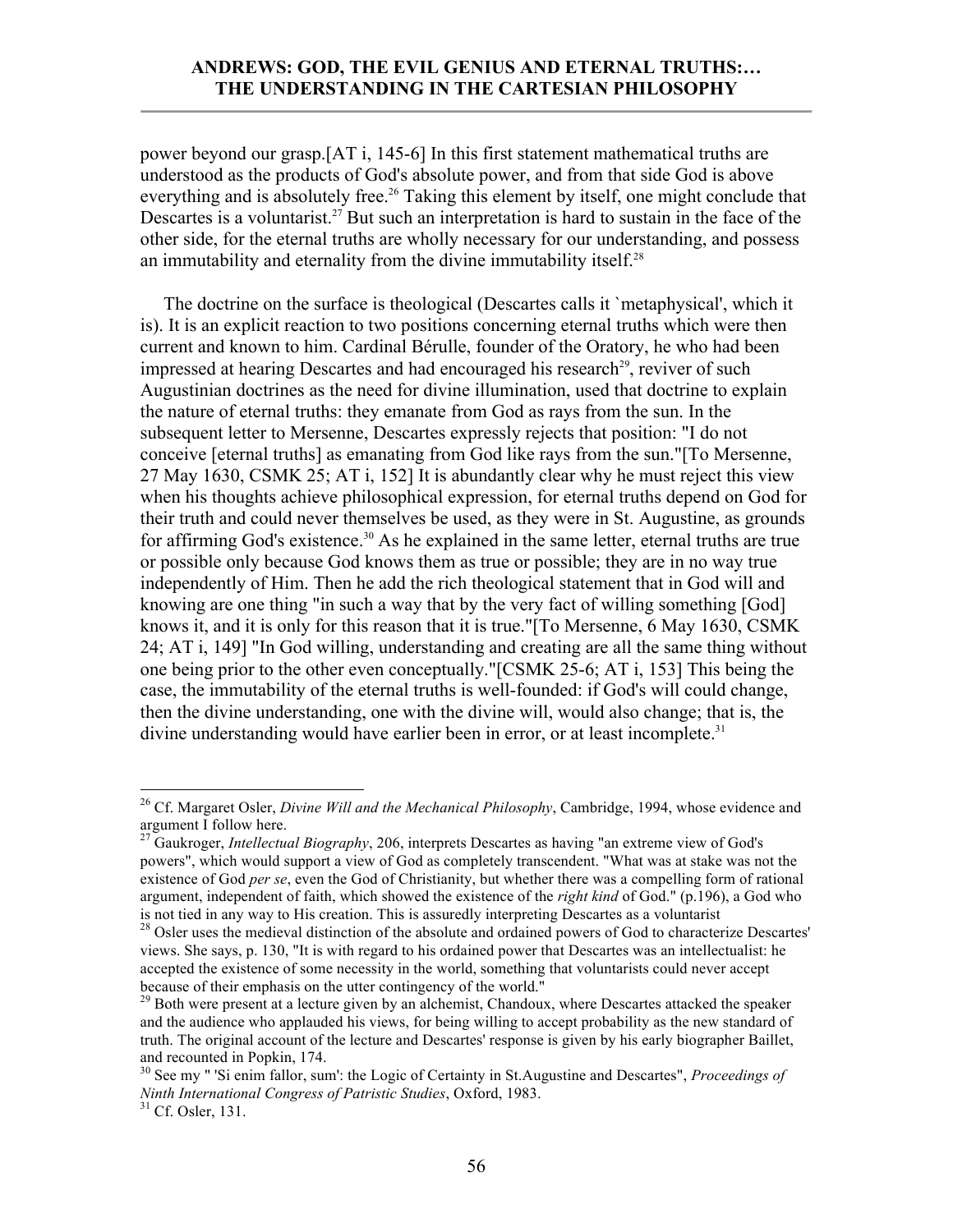power beyond our grasp.[AT i, 145-6] In this first statement mathematical truths are understood as the products of God's absolute power, and from that side God is above everything and is absolutely free.<sup>26</sup> Taking this element by itself, one might conclude that Descartes is a voluntarist.<sup>27</sup> But such an interpretation is hard to sustain in the face of the other side, for the eternal truths are wholly necessary for our understanding, and possess an immutability and eternality from the divine immutability itself.<sup>28</sup>

 The doctrine on the surface is theological (Descartes calls it `metaphysical', which it is). It is an explicit reaction to two positions concerning eternal truths which were then current and known to him. Cardinal Bérulle, founder of the Oratory, he who had been impressed at hearing Descartes and had encouraged his research<sup>29</sup>, reviver of such Augustinian doctrines as the need for divine illumination, used that doctrine to explain the nature of eternal truths: they emanate from God as rays from the sun. In the subsequent letter to Mersenne, Descartes expressly rejects that position: "I do not conceive [eternal truths] as emanating from God like rays from the sun."[To Mersenne, 27 May 1630, CSMK 25; AT i, 152] It is abundantly clear why he must reject this view when his thoughts achieve philosophical expression, for eternal truths depend on God for their truth and could never themselves be used, as they were in St. Augustine, as grounds for affirming God's existence.<sup>30</sup> As he explained in the same letter, eternal truths are true or possible only because God knows them as true or possible; they are in no way true independently of Him. Then he add the rich theological statement that in God will and knowing are one thing "in such a way that by the very fact of willing something [God] knows it, and it is only for this reason that it is true."[To Mersenne, 6 May 1630, CSMK 24; AT i, 149] "In God willing, understanding and creating are all the same thing without one being prior to the other even conceptually."[CSMK 25-6; AT i, 153] This being the case, the immutability of the eternal truths is well-founded: if God's will could change, then the divine understanding, one with the divine will, would also change; that is, the divine understanding would have earlier been in error, or at least incomplete.<sup>31</sup>

 <sup>26</sup> Cf. Margaret Osler, *Divine Will and the Mechanical Philosophy*, Cambridge, 1994, whose evidence and argument I follow here.

<sup>&</sup>lt;sup>27</sup> Gaukroger, *Intellectual Biography*, 206, interprets Descartes as having "an extreme view of God's powers", which would support a view of God as completely transcendent. "What was at stake was not the existence of God *per se*, even the God of Christianity, but whether there was a compelling form of rational argument, independent of faith, which showed the existence of the *right kind* of God." (p.196), a God who is not tied in any way to His creation. This is assuredly interpreting Descartes as a voluntarist 28 Osler uses the medieval distinction of the absolute and ordained powers of God to characterize Descartes'

views. She says, p. 130, "It is with regard to his ordained power that Descartes was an intellectualist: he accepted the existence of some necessity in the world, something that voluntarists could never accept because of their emphasis on the utter contingency of the world."

 $^{29}$  Both were present at a lecture given by an alchemist, Chandoux, where Descartes attacked the speaker and the audience who applauded his views, for being willing to accept probability as the new standard of truth. The original account of the lecture and Descartes' response is given by his early biographer Baillet, and recounted in Popkin, 174.

<sup>30</sup> See my " 'Si enim fallor, sum': the Logic of Certainty in St.Augustine and Descartes", *Proceedings of Ninth International Congress of Patristic Studies*, Oxford, 1983. 31 Cf. Osler, 131.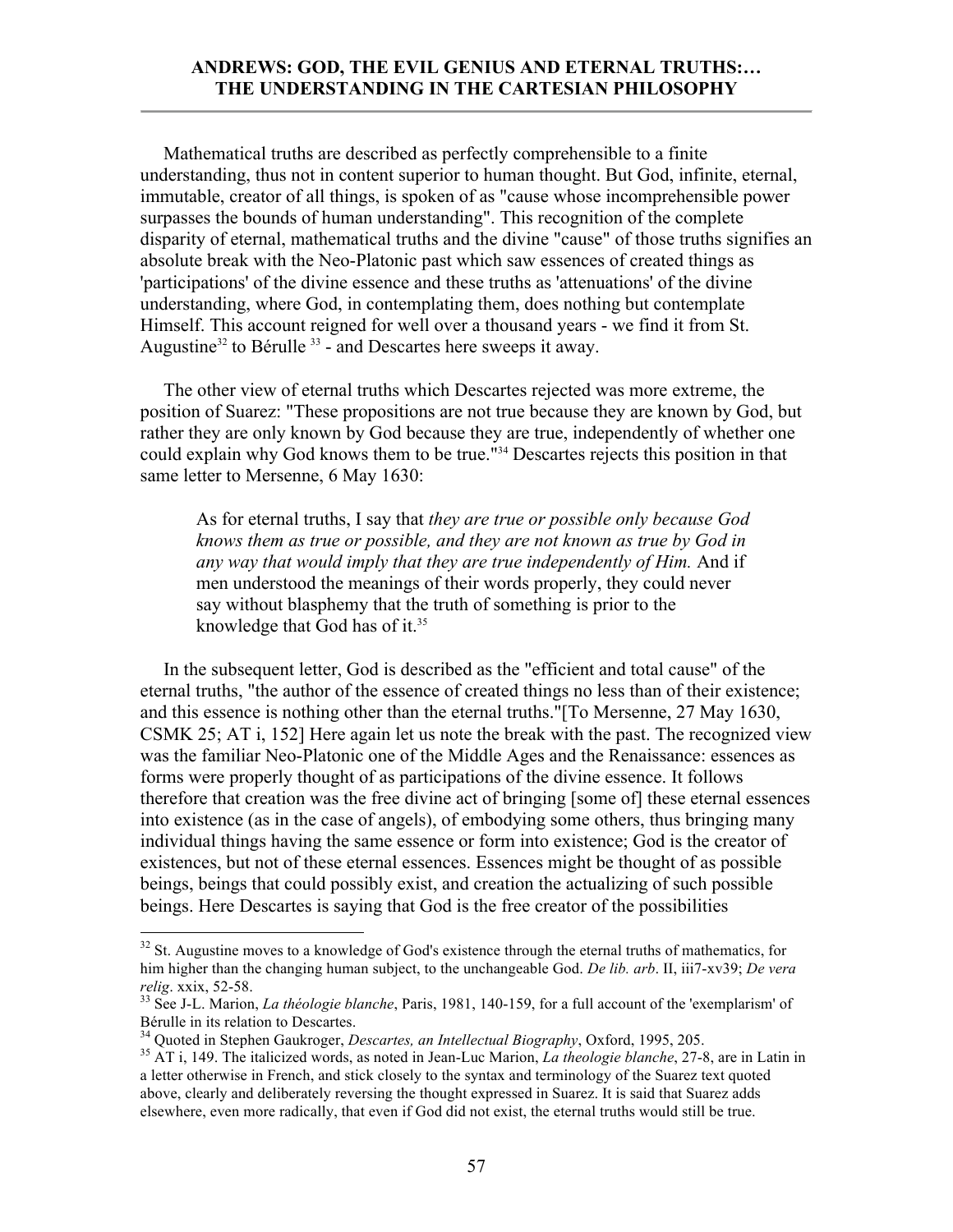Mathematical truths are described as perfectly comprehensible to a finite understanding, thus not in content superior to human thought. But God, infinite, eternal, immutable, creator of all things, is spoken of as "cause whose incomprehensible power surpasses the bounds of human understanding". This recognition of the complete disparity of eternal, mathematical truths and the divine "cause" of those truths signifies an absolute break with the Neo-Platonic past which saw essences of created things as 'participations' of the divine essence and these truths as 'attenuations' of the divine understanding, where God, in contemplating them, does nothing but contemplate Himself. This account reigned for well over a thousand years - we find it from St. Augustine<sup>32</sup> to Bérulle<sup>33</sup> - and Descartes here sweeps it away.

 The other view of eternal truths which Descartes rejected was more extreme, the position of Suarez: "These propositions are not true because they are known by God, but rather they are only known by God because they are true, independently of whether one could explain why God knows them to be true."34 Descartes rejects this position in that same letter to Mersenne, 6 May 1630:

As for eternal truths, I say that *they are true or possible only because God knows them as true or possible, and they are not known as true by God in any way that would imply that they are true independently of Him.* And if men understood the meanings of their words properly, they could never say without blasphemy that the truth of something is prior to the knowledge that God has of it.<sup>35</sup>

 In the subsequent letter, God is described as the "efficient and total cause" of the eternal truths, "the author of the essence of created things no less than of their existence; and this essence is nothing other than the eternal truths."[To Mersenne, 27 May 1630, CSMK 25; AT i, 152] Here again let us note the break with the past. The recognized view was the familiar Neo-Platonic one of the Middle Ages and the Renaissance: essences as forms were properly thought of as participations of the divine essence. It follows therefore that creation was the free divine act of bringing [some of] these eternal essences into existence (as in the case of angels), of embodying some others, thus bringing many individual things having the same essence or form into existence; God is the creator of existences, but not of these eternal essences. Essences might be thought of as possible beings, beings that could possibly exist, and creation the actualizing of such possible beings. Here Descartes is saying that God is the free creator of the possibilities

 $32$  St. Augustine moves to a knowledge of God's existence through the eternal truths of mathematics, for him higher than the changing human subject, to the unchangeable God. *De lib. arb*. II, iii7-xv39; *De vera* 

<sup>&</sup>lt;sup>33</sup> See J-L. Marion, *La théologie blanche*, Paris, 1981, 140-159, for a full account of the 'exemplarism' of Bérulle in its relation to Descartes.<br><sup>34</sup> Quoted in Stephen Gaukroger, *Descartes, an Intellectual Biography*, Oxford, 1995, 205.

<sup>&</sup>lt;sup>35</sup> AT i, 149. The italicized words, as noted in Jean-Luc Marion, *La theologie blanche*, 27-8, are in Latin in a letter otherwise in French, and stick closely to the syntax and terminology of the Suarez text quoted above, clearly and deliberately reversing the thought expressed in Suarez. It is said that Suarez adds elsewhere, even more radically, that even if God did not exist, the eternal truths would still be true.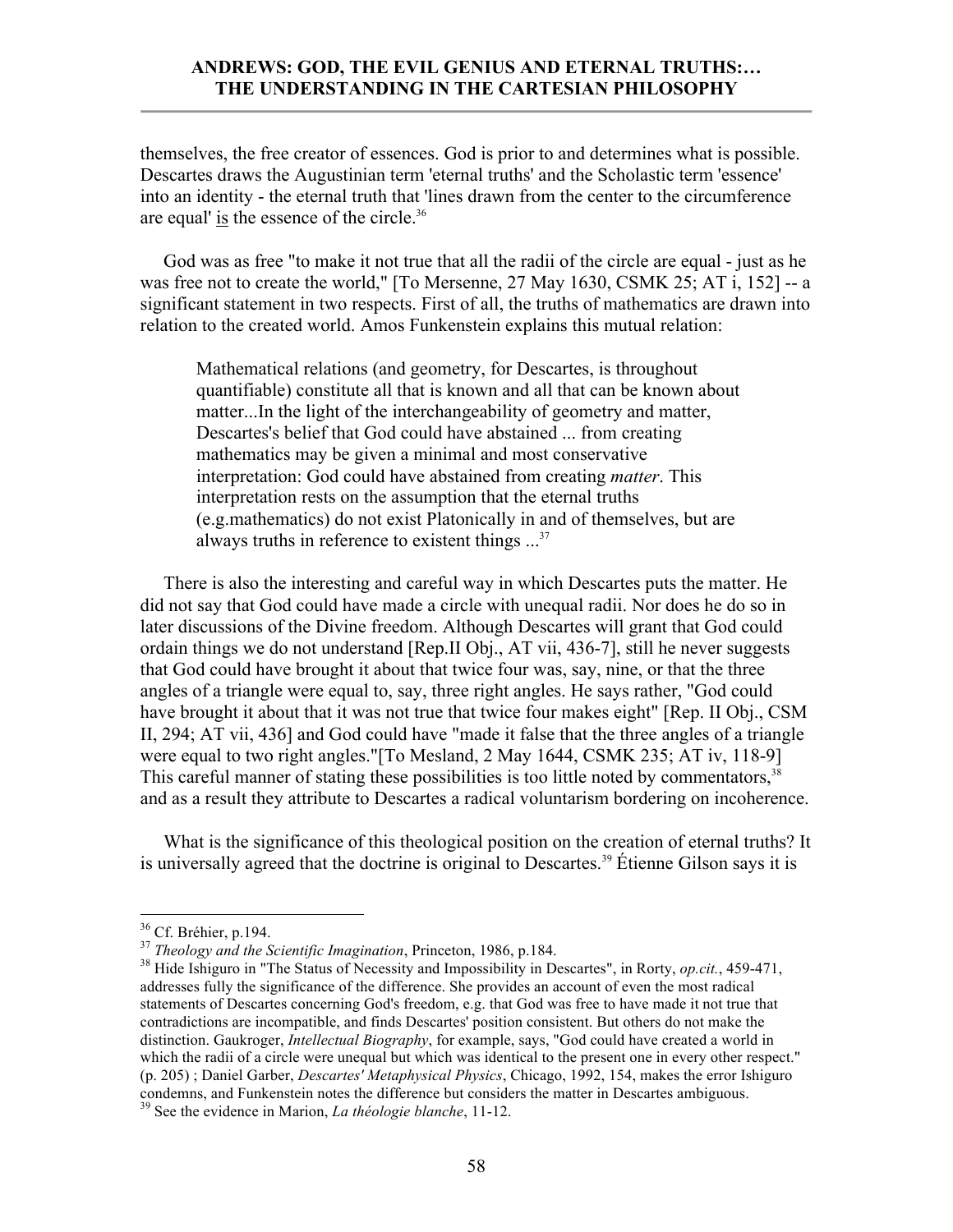themselves, the free creator of essences. God is prior to and determines what is possible. Descartes draws the Augustinian term 'eternal truths' and the Scholastic term 'essence' into an identity - the eternal truth that 'lines drawn from the center to the circumference are equal' is the essence of the circle.36

 God was as free "to make it not true that all the radii of the circle are equal - just as he was free not to create the world," [To Mersenne, 27 May 1630, CSMK 25; AT i, 152] -- a significant statement in two respects. First of all, the truths of mathematics are drawn into relation to the created world. Amos Funkenstein explains this mutual relation:

Mathematical relations (and geometry, for Descartes, is throughout quantifiable) constitute all that is known and all that can be known about matter...In the light of the interchangeability of geometry and matter, Descartes's belief that God could have abstained ... from creating mathematics may be given a minimal and most conservative interpretation: God could have abstained from creating *matter*. This interpretation rests on the assumption that the eternal truths (e.g.mathematics) do not exist Platonically in and of themselves, but are always truths in reference to existent things  $\ldots$ <sup>37</sup>

 There is also the interesting and careful way in which Descartes puts the matter. He did not say that God could have made a circle with unequal radii. Nor does he do so in later discussions of the Divine freedom. Although Descartes will grant that God could ordain things we do not understand [Rep.II Obj., AT vii, 436-7], still he never suggests that God could have brought it about that twice four was, say, nine, or that the three angles of a triangle were equal to, say, three right angles. He says rather, "God could have brought it about that it was not true that twice four makes eight" [Rep. II Obj., CSM II, 294; AT vii, 436] and God could have "made it false that the three angles of a triangle were equal to two right angles."[To Mesland, 2 May 1644, CSMK 235; AT iv, 118-9] This careful manner of stating these possibilities is too little noted by commentators,<sup>38</sup> and as a result they attribute to Descartes a radical voluntarism bordering on incoherence.

 What is the significance of this theological position on the creation of eternal truths? It is universally agreed that the doctrine is original to Descartes.<sup>39</sup> Étienne Gilson says it is

<sup>&</sup>lt;sup>36</sup> Cf. Bréhier, p.194.<br><sup>37</sup> Theology and the Scientific Imagination, Princeton, 1986, p.184.

<sup>&</sup>lt;sup>38</sup> Hide Ishiguro in "The Status of Necessity and Impossibility in Descartes", in Rorty, *op.cit.*, 459-471, addresses fully the significance of the difference. She provides an account of even the most radical statements of Descartes concerning God's freedom, e.g. that God was free to have made it not true that contradictions are incompatible, and finds Descartes' position consistent. But others do not make the distinction. Gaukroger, *Intellectual Biography*, for example, says, "God could have created a world in which the radii of a circle were unequal but which was identical to the present one in every other respect." (p. 205) ; Daniel Garber, *Descartes' Metaphysical Physics*, Chicago, 1992, 154, makes the error Ishiguro condemns, and Funkenstein notes the difference but considers the matter in Descartes ambiguous. 39 See the evidence in Marion, *La théologie blanche*, 11-12.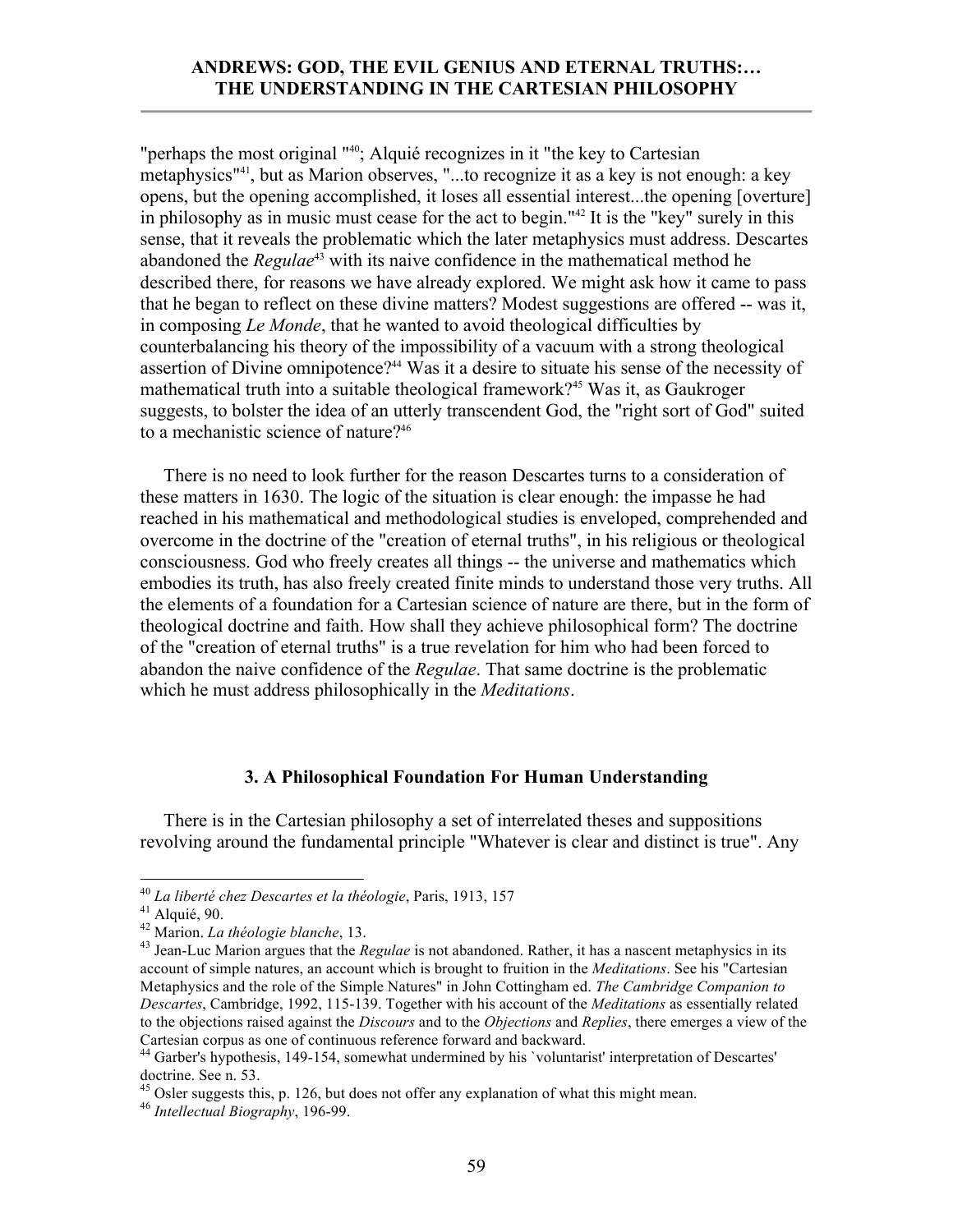"perhaps the most original "<sup>40</sup>; Alquié recognizes in it "the key to Cartesian metaphysics"41, but as Marion observes, "...to recognize it as a key is not enough: a key opens, but the opening accomplished, it loses all essential interest...the opening [overture] in philosophy as in music must cease for the act to begin."<sup>42</sup> It is the "key" surely in this sense, that it reveals the problematic which the later metaphysics must address. Descartes abandoned the *Regulae*<sup>43</sup> with its naive confidence in the mathematical method he described there, for reasons we have already explored. We might ask how it came to pass that he began to reflect on these divine matters? Modest suggestions are offered -- was it, in composing *Le Monde*, that he wanted to avoid theological difficulties by counterbalancing his theory of the impossibility of a vacuum with a strong theological assertion of Divine omnipotence?44 Was it a desire to situate his sense of the necessity of mathematical truth into a suitable theological framework?<sup>45</sup> Was it, as Gaukroger suggests, to bolster the idea of an utterly transcendent God, the "right sort of God" suited to a mechanistic science of nature?<sup>46</sup>

 There is no need to look further for the reason Descartes turns to a consideration of these matters in 1630. The logic of the situation is clear enough: the impasse he had reached in his mathematical and methodological studies is enveloped, comprehended and overcome in the doctrine of the "creation of eternal truths", in his religious or theological consciousness. God who freely creates all things -- the universe and mathematics which embodies its truth, has also freely created finite minds to understand those very truths. All the elements of a foundation for a Cartesian science of nature are there, but in the form of theological doctrine and faith. How shall they achieve philosophical form? The doctrine of the "creation of eternal truths" is a true revelation for him who had been forced to abandon the naive confidence of the *Regulae*. That same doctrine is the problematic which he must address philosophically in the *Meditations*.

#### **3. A Philosophical Foundation For Human Understanding**

 There is in the Cartesian philosophy a set of interrelated theses and suppositions revolving around the fundamental principle "Whatever is clear and distinct is true". Any

 $45$  Osler suggests this, p. 126, but does not offer any explanation of what this might mean.

<sup>&</sup>lt;sup>40</sup> *La liberté chez Descartes et la théologie*, Paris, 1913, 157<br><sup>41</sup> Alquié, 90.<br><sup>42</sup> Marion. *La théologie blanche*, 13.

<sup>&</sup>lt;sup>43</sup> Jean-Luc Marion argues that the *Regulae* is not abandoned. Rather, it has a nascent metaphysics in its account of simple natures, an account which is brought to fruition in the *Meditations*. See his "Cartesian Metaphysics and the role of the Simple Natures" in John Cottingham ed. *The Cambridge Companion to Descartes*, Cambridge, 1992, 115-139. Together with his account of the *Meditations* as essentially related to the objections raised against the *Discours* and to the *Objections* and *Replies*, there emerges a view of the Cartesian corpus as one of continuous reference forward and backward.

<sup>44</sup> Garber's hypothesis, 149-154, somewhat undermined by his `voluntarist' interpretation of Descartes' doctrine. See n. 53.

<sup>46</sup> *Intellectual Biography*, 196-99.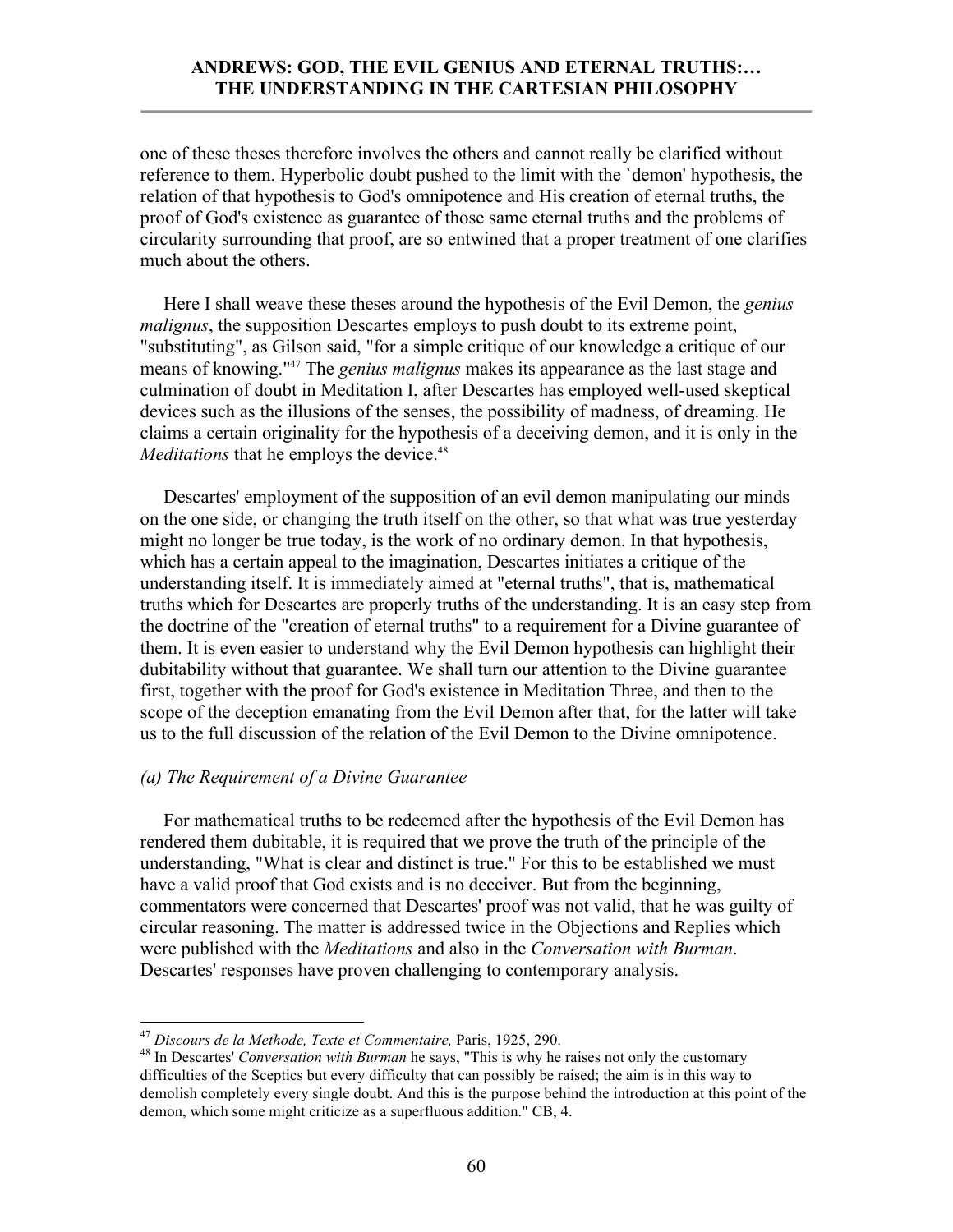one of these theses therefore involves the others and cannot really be clarified without reference to them. Hyperbolic doubt pushed to the limit with the `demon' hypothesis, the relation of that hypothesis to God's omnipotence and His creation of eternal truths, the proof of God's existence as guarantee of those same eternal truths and the problems of circularity surrounding that proof, are so entwined that a proper treatment of one clarifies much about the others.

 Here I shall weave these theses around the hypothesis of the Evil Demon, the *genius malignus*, the supposition Descartes employs to push doubt to its extreme point, "substituting", as Gilson said, "for a simple critique of our knowledge a critique of our means of knowing."47 The *genius malignus* makes its appearance as the last stage and culmination of doubt in Meditation I, after Descartes has employed well-used skeptical devices such as the illusions of the senses, the possibility of madness, of dreaming. He claims a certain originality for the hypothesis of a deceiving demon, and it is only in the *Meditations* that he employs the device.<sup>48</sup>

 Descartes' employment of the supposition of an evil demon manipulating our minds on the one side, or changing the truth itself on the other, so that what was true yesterday might no longer be true today, is the work of no ordinary demon. In that hypothesis, which has a certain appeal to the imagination, Descartes initiates a critique of the understanding itself. It is immediately aimed at "eternal truths", that is, mathematical truths which for Descartes are properly truths of the understanding. It is an easy step from the doctrine of the "creation of eternal truths" to a requirement for a Divine guarantee of them. It is even easier to understand why the Evil Demon hypothesis can highlight their dubitability without that guarantee. We shall turn our attention to the Divine guarantee first, together with the proof for God's existence in Meditation Three, and then to the scope of the deception emanating from the Evil Demon after that, for the latter will take us to the full discussion of the relation of the Evil Demon to the Divine omnipotence.

#### *(a) The Requirement of a Divine Guarantee*

 For mathematical truths to be redeemed after the hypothesis of the Evil Demon has rendered them dubitable, it is required that we prove the truth of the principle of the understanding, "What is clear and distinct is true." For this to be established we must have a valid proof that God exists and is no deceiver. But from the beginning, commentators were concerned that Descartes' proof was not valid, that he was guilty of circular reasoning. The matter is addressed twice in the Objections and Replies which were published with the *Meditations* and also in the *Conversation with Burman*. Descartes' responses have proven challenging to contemporary analysis.

<sup>&</sup>lt;sup>47</sup> *Discours de la Methode, Texte et Commentaire, Paris, 1925, 290.*<br><sup>48</sup> In Descartes' *Conversation with Burman* he says, "This is why he raises not only the customary difficulties of the Sceptics but every difficulty that can possibly be raised; the aim is in this way to demolish completely every single doubt. And this is the purpose behind the introduction at this point of the demon, which some might criticize as a superfluous addition." CB, 4.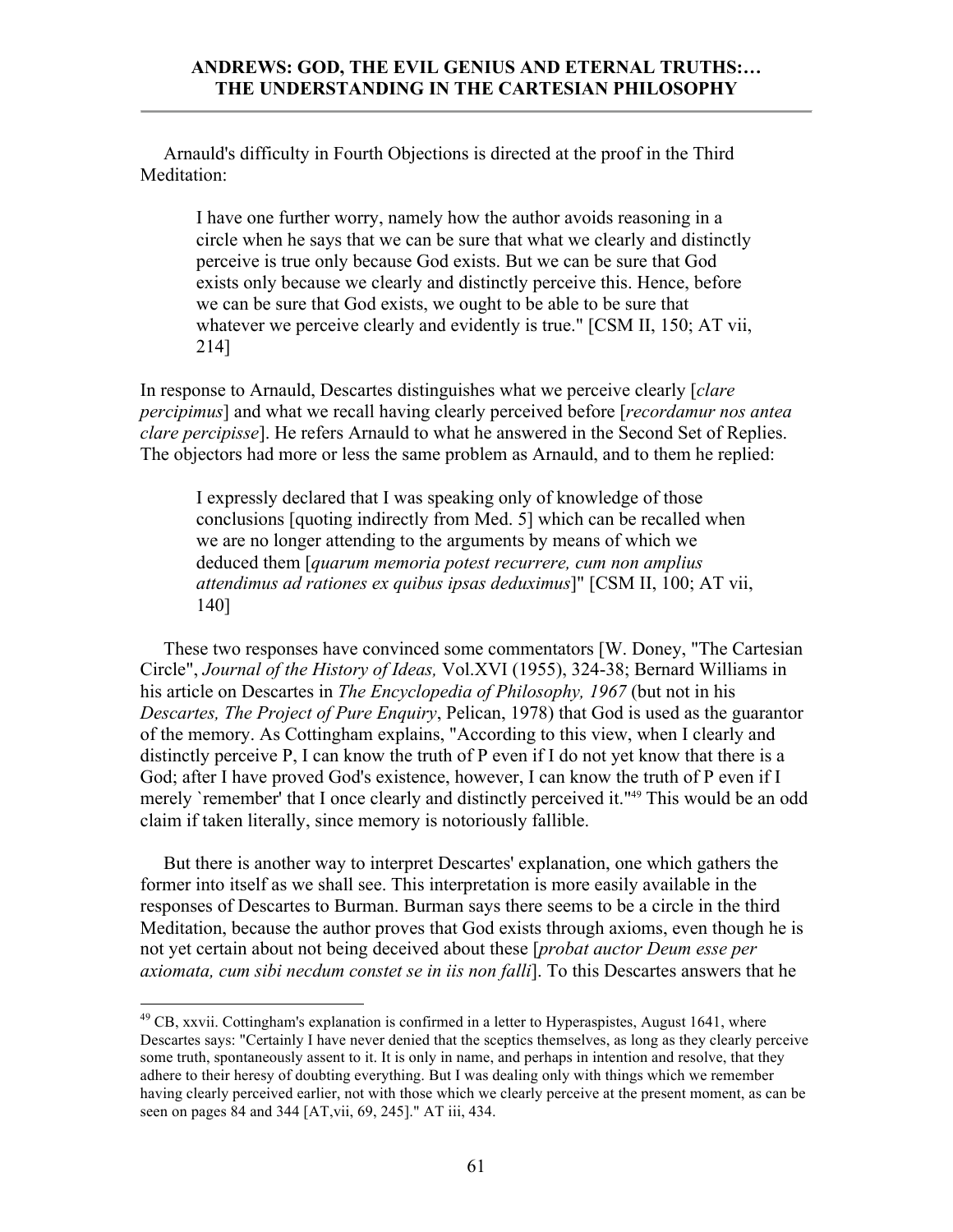Arnauld's difficulty in Fourth Objections is directed at the proof in the Third Meditation:

I have one further worry, namely how the author avoids reasoning in a circle when he says that we can be sure that what we clearly and distinctly perceive is true only because God exists. But we can be sure that God exists only because we clearly and distinctly perceive this. Hence, before we can be sure that God exists, we ought to be able to be sure that whatever we perceive clearly and evidently is true." [CSM II, 150; AT vii, 214]

In response to Arnauld, Descartes distinguishes what we perceive clearly [*clare percipimus*] and what we recall having clearly perceived before [*recordamur nos antea clare percipisse*]. He refers Arnauld to what he answered in the Second Set of Replies. The objectors had more or less the same problem as Arnauld, and to them he replied:

I expressly declared that I was speaking only of knowledge of those conclusions [quoting indirectly from Med. 5] which can be recalled when we are no longer attending to the arguments by means of which we deduced them [*quarum memoria potest recurrere, cum non amplius attendimus ad rationes ex quibus ipsas deduximus*]" [CSM II, 100; AT vii, 140]

 These two responses have convinced some commentators [W. Doney, "The Cartesian Circle", *Journal of the History of Ideas,* Vol.XVI (1955), 324-38; Bernard Williams in his article on Descartes in *The Encyclopedia of Philosophy, 1967* (but not in his *Descartes, The Project of Pure Enquiry*, Pelican, 1978) that God is used as the guarantor of the memory. As Cottingham explains, "According to this view, when I clearly and distinctly perceive P, I can know the truth of P even if I do not yet know that there is a God; after I have proved God's existence, however, I can know the truth of P even if I merely 'remember' that I once clearly and distinctly perceived it."<sup>49</sup> This would be an odd claim if taken literally, since memory is notoriously fallible.

 But there is another way to interpret Descartes' explanation, one which gathers the former into itself as we shall see. This interpretation is more easily available in the responses of Descartes to Burman. Burman says there seems to be a circle in the third Meditation, because the author proves that God exists through axioms, even though he is not yet certain about not being deceived about these [*probat auctor Deum esse per axiomata, cum sibi necdum constet se in iis non falli*]. To this Descartes answers that he

 $^{49}$  CB, xxvii. Cottingham's explanation is confirmed in a letter to Hyperaspistes, August 1641, where Descartes says: "Certainly I have never denied that the sceptics themselves, as long as they clearly perceive some truth, spontaneously assent to it. It is only in name, and perhaps in intention and resolve, that they adhere to their heresy of doubting everything. But I was dealing only with things which we remember having clearly perceived earlier, not with those which we clearly perceive at the present moment, as can be seen on pages 84 and 344 [AT,vii, 69, 245]." AT iii, 434.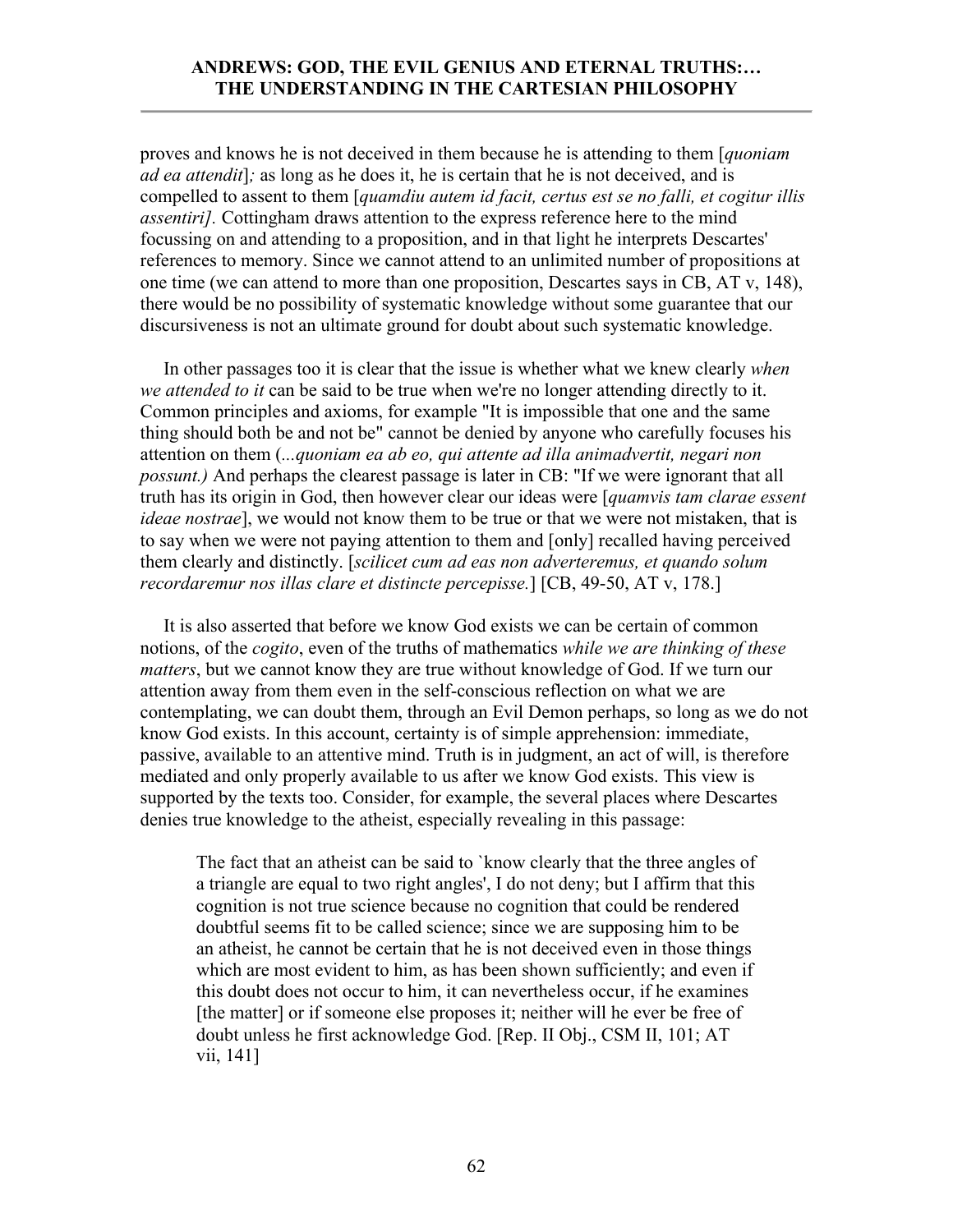proves and knows he is not deceived in them because he is attending to them [*quoniam ad ea attendit*]*;* as long as he does it, he is certain that he is not deceived, and is compelled to assent to them [*quamdiu autem id facit, certus est se no falli, et cogitur illis assentiri].* Cottingham draws attention to the express reference here to the mind focussing on and attending to a proposition, and in that light he interprets Descartes' references to memory. Since we cannot attend to an unlimited number of propositions at one time (we can attend to more than one proposition, Descartes says in CB, AT v, 148), there would be no possibility of systematic knowledge without some guarantee that our discursiveness is not an ultimate ground for doubt about such systematic knowledge.

 In other passages too it is clear that the issue is whether what we knew clearly *when we attended to it* can be said to be true when we're no longer attending directly to it. Common principles and axioms, for example "It is impossible that one and the same thing should both be and not be" cannot be denied by anyone who carefully focuses his attention on them (*...quoniam ea ab eo, qui attente ad illa animadvertit, negari non possunt.)* And perhaps the clearest passage is later in CB: "If we were ignorant that all truth has its origin in God, then however clear our ideas were [*quamvis tam clarae essent ideae nostrae*], we would not know them to be true or that we were not mistaken, that is to say when we were not paying attention to them and [only] recalled having perceived them clearly and distinctly. [*scilicet cum ad eas non adverteremus, et quando solum recordaremur nos illas clare et distincte percepisse.*] [CB, 49-50, AT v, 178.]

 It is also asserted that before we know God exists we can be certain of common notions, of the *cogito*, even of the truths of mathematics *while we are thinking of these matters*, but we cannot know they are true without knowledge of God. If we turn our attention away from them even in the self-conscious reflection on what we are contemplating, we can doubt them, through an Evil Demon perhaps, so long as we do not know God exists. In this account, certainty is of simple apprehension: immediate, passive, available to an attentive mind. Truth is in judgment, an act of will, is therefore mediated and only properly available to us after we know God exists. This view is supported by the texts too. Consider, for example, the several places where Descartes denies true knowledge to the atheist, especially revealing in this passage:

The fact that an atheist can be said to `know clearly that the three angles of a triangle are equal to two right angles', I do not deny; but I affirm that this cognition is not true science because no cognition that could be rendered doubtful seems fit to be called science; since we are supposing him to be an atheist, he cannot be certain that he is not deceived even in those things which are most evident to him, as has been shown sufficiently; and even if this doubt does not occur to him, it can nevertheless occur, if he examines [the matter] or if someone else proposes it; neither will he ever be free of doubt unless he first acknowledge God. [Rep. II Obj., CSM II, 101; AT vii, 141]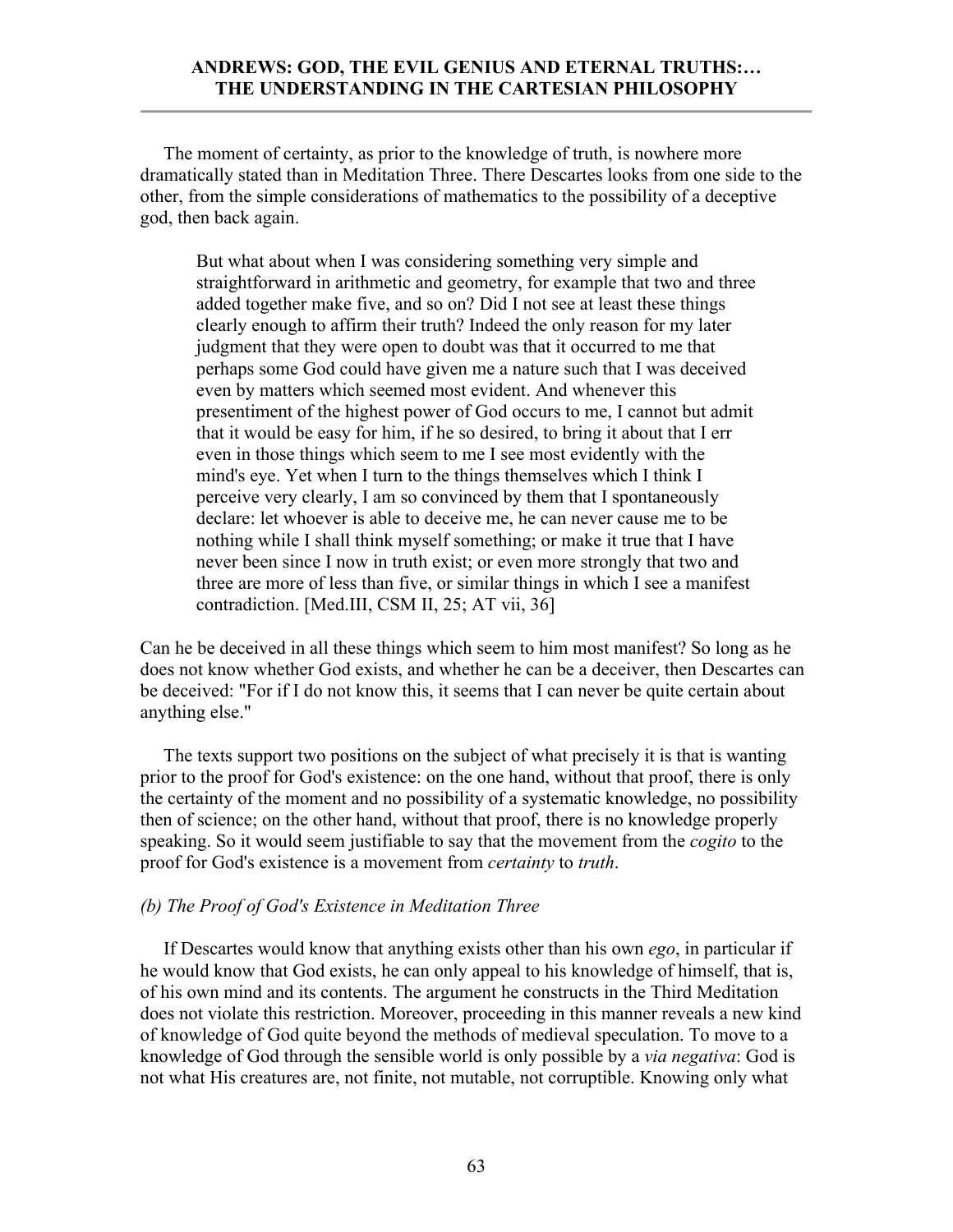The moment of certainty, as prior to the knowledge of truth, is nowhere more dramatically stated than in Meditation Three. There Descartes looks from one side to the other, from the simple considerations of mathematics to the possibility of a deceptive god, then back again.

But what about when I was considering something very simple and straightforward in arithmetic and geometry, for example that two and three added together make five, and so on? Did I not see at least these things clearly enough to affirm their truth? Indeed the only reason for my later judgment that they were open to doubt was that it occurred to me that perhaps some God could have given me a nature such that I was deceived even by matters which seemed most evident. And whenever this presentiment of the highest power of God occurs to me, I cannot but admit that it would be easy for him, if he so desired, to bring it about that I err even in those things which seem to me I see most evidently with the mind's eye. Yet when I turn to the things themselves which I think I perceive very clearly, I am so convinced by them that I spontaneously declare: let whoever is able to deceive me, he can never cause me to be nothing while I shall think myself something; or make it true that I have never been since I now in truth exist; or even more strongly that two and three are more of less than five, or similar things in which I see a manifest contradiction. [Med.III, CSM II, 25; AT vii, 36]

Can he be deceived in all these things which seem to him most manifest? So long as he does not know whether God exists, and whether he can be a deceiver, then Descartes can be deceived: "For if I do not know this, it seems that I can never be quite certain about anything else."

 The texts support two positions on the subject of what precisely it is that is wanting prior to the proof for God's existence: on the one hand, without that proof, there is only the certainty of the moment and no possibility of a systematic knowledge, no possibility then of science; on the other hand, without that proof, there is no knowledge properly speaking. So it would seem justifiable to say that the movement from the *cogito* to the proof for God's existence is a movement from *certainty* to *truth*.

## *(b) The Proof of God's Existence in Meditation Three*

 If Descartes would know that anything exists other than his own *ego*, in particular if he would know that God exists, he can only appeal to his knowledge of himself, that is, of his own mind and its contents. The argument he constructs in the Third Meditation does not violate this restriction. Moreover, proceeding in this manner reveals a new kind of knowledge of God quite beyond the methods of medieval speculation. To move to a knowledge of God through the sensible world is only possible by a *via negativa*: God is not what His creatures are, not finite, not mutable, not corruptible. Knowing only what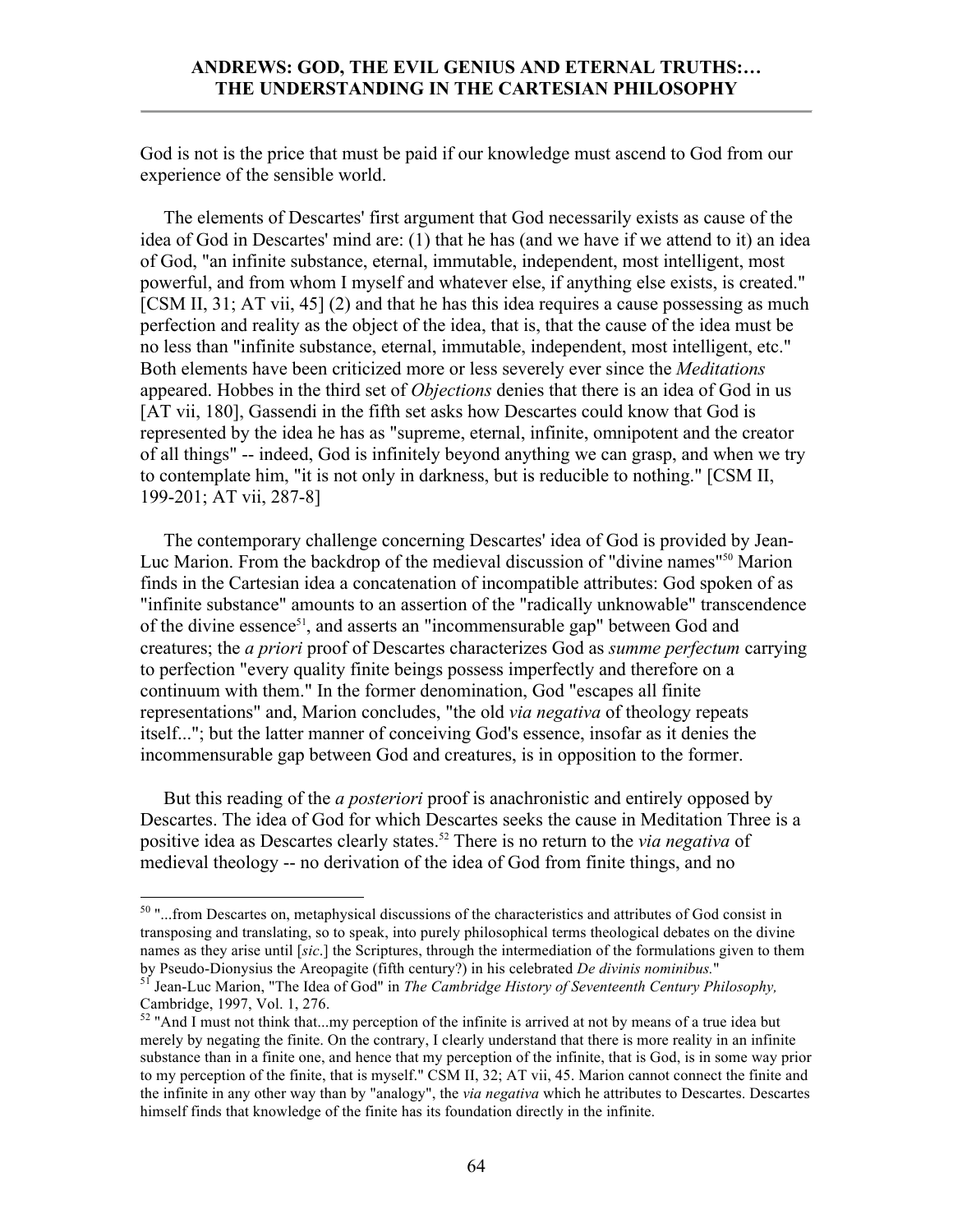God is not is the price that must be paid if our knowledge must ascend to God from our experience of the sensible world.

 The elements of Descartes' first argument that God necessarily exists as cause of the idea of God in Descartes' mind are: (1) that he has (and we have if we attend to it) an idea of God, "an infinite substance, eternal, immutable, independent, most intelligent, most powerful, and from whom I myself and whatever else, if anything else exists, is created." [CSM II, 31; AT vii, 45] (2) and that he has this idea requires a cause possessing as much perfection and reality as the object of the idea, that is, that the cause of the idea must be no less than "infinite substance, eternal, immutable, independent, most intelligent, etc." Both elements have been criticized more or less severely ever since the *Meditations* appeared. Hobbes in the third set of *Objections* denies that there is an idea of God in us [AT vii, 180], Gassendi in the fifth set asks how Descartes could know that God is represented by the idea he has as "supreme, eternal, infinite, omnipotent and the creator of all things" -- indeed, God is infinitely beyond anything we can grasp, and when we try to contemplate him, "it is not only in darkness, but is reducible to nothing." [CSM II, 199-201; AT vii, 287-8]

 The contemporary challenge concerning Descartes' idea of God is provided by Jean-Luc Marion. From the backdrop of the medieval discussion of "divine names"50 Marion finds in the Cartesian idea a concatenation of incompatible attributes: God spoken of as "infinite substance" amounts to an assertion of the "radically unknowable" transcendence of the divine essence<sup>51</sup>, and asserts an "incommensurable gap" between God and creatures; the *a priori* proof of Descartes characterizes God as *summe perfectum* carrying to perfection "every quality finite beings possess imperfectly and therefore on a continuum with them." In the former denomination, God "escapes all finite representations" and, Marion concludes, "the old *via negativa* of theology repeats itself..."; but the latter manner of conceiving God's essence, insofar as it denies the incommensurable gap between God and creatures, is in opposition to the former.

 But this reading of the *a posteriori* proof is anachronistic and entirely opposed by Descartes. The idea of God for which Descartes seeks the cause in Meditation Three is a positive idea as Descartes clearly states.52 There is no return to the *via negativa* of medieval theology -- no derivation of the idea of God from finite things, and no

<sup>&</sup>lt;sup>50</sup> "...from Descartes on, metaphysical discussions of the characteristics and attributes of God consist in transposing and translating, so to speak, into purely philosophical terms theological debates on the divine names as they arise until [*sic*.] the Scriptures, through the intermediation of the formulations given to them<br>by Pseudo-Dionysius the Areopagite (fifth century?) in his celebrated *De divinis nominibus*."

<sup>&</sup>lt;sup>51</sup> Jean-Luc Marion, "The Idea of God" in *The Cambridge History of Seventeenth Century Philosophy,* Cambridge, 1997, Vol. 1, 276.

<sup>&</sup>lt;sup>52</sup> "And I must not think that...my perception of the infinite is arrived at not by means of a true idea but merely by negating the finite. On the contrary, I clearly understand that there is more reality in an infinite substance than in a finite one, and hence that my perception of the infinite, that is God, is in some way prior to my perception of the finite, that is myself." CSM II, 32; AT vii, 45. Marion cannot connect the finite and the infinite in any other way than by "analogy", the *via negativa* which he attributes to Descartes. Descartes himself finds that knowledge of the finite has its foundation directly in the infinite.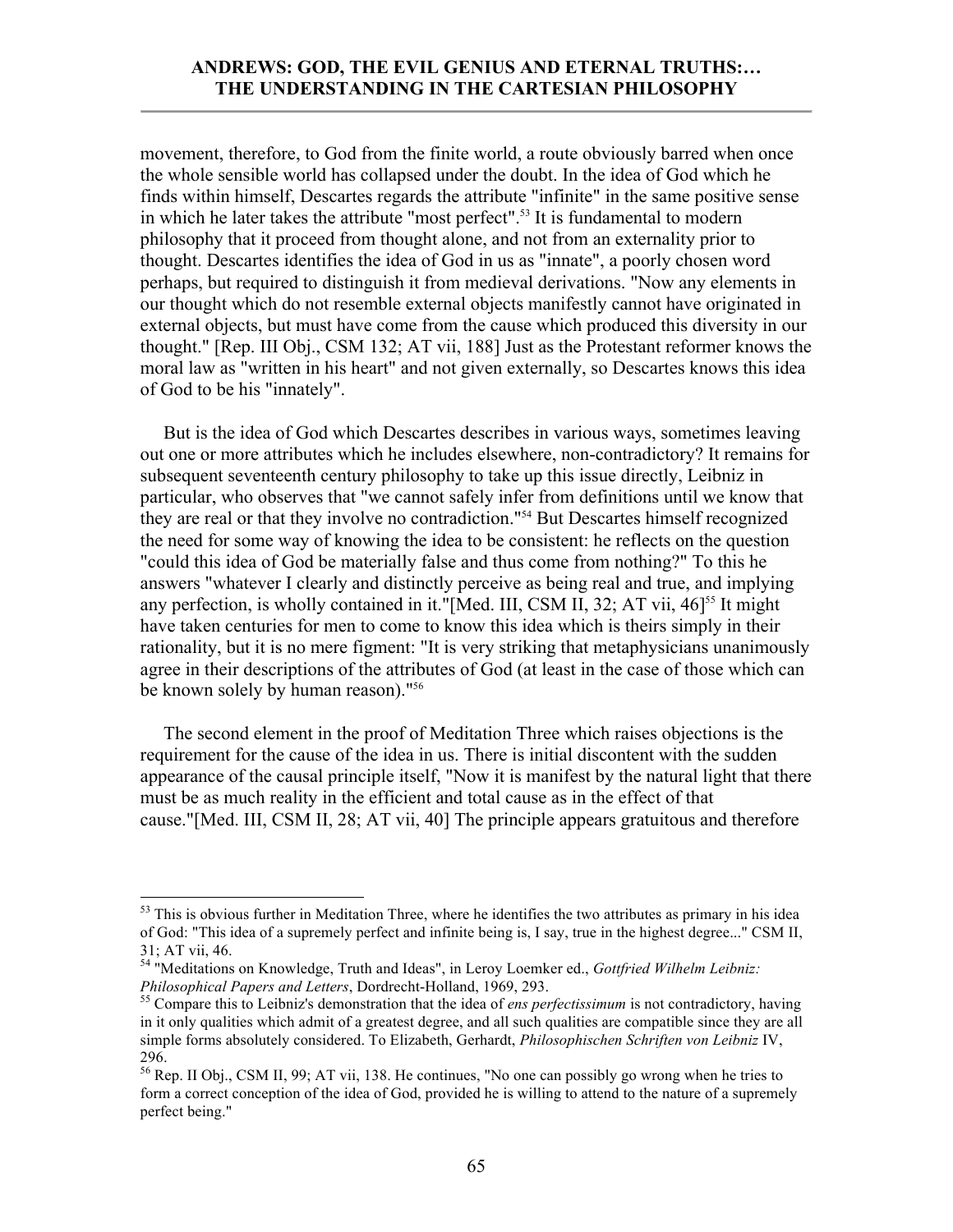movement, therefore, to God from the finite world, a route obviously barred when once the whole sensible world has collapsed under the doubt. In the idea of God which he finds within himself, Descartes regards the attribute "infinite" in the same positive sense in which he later takes the attribute "most perfect".<sup>53</sup> It is fundamental to modern philosophy that it proceed from thought alone, and not from an externality prior to thought. Descartes identifies the idea of God in us as "innate", a poorly chosen word perhaps, but required to distinguish it from medieval derivations. "Now any elements in our thought which do not resemble external objects manifestly cannot have originated in external objects, but must have come from the cause which produced this diversity in our thought." [Rep. III Obj., CSM 132; AT vii, 188] Just as the Protestant reformer knows the moral law as "written in his heart" and not given externally, so Descartes knows this idea of God to be his "innately".

 But is the idea of God which Descartes describes in various ways, sometimes leaving out one or more attributes which he includes elsewhere, non-contradictory? It remains for subsequent seventeenth century philosophy to take up this issue directly, Leibniz in particular, who observes that "we cannot safely infer from definitions until we know that they are real or that they involve no contradiction."54 But Descartes himself recognized the need for some way of knowing the idea to be consistent: he reflects on the question "could this idea of God be materially false and thus come from nothing?" To this he answers "whatever I clearly and distinctly perceive as being real and true, and implying any perfection, is wholly contained in it."[Med. III, CSM II, 32; AT vii,  $46$ <sup>[55</sup> It might have taken centuries for men to come to know this idea which is theirs simply in their rationality, but it is no mere figment: "It is very striking that metaphysicians unanimously agree in their descriptions of the attributes of God (at least in the case of those which can be known solely by human reason)."<sup>56</sup>

 The second element in the proof of Meditation Three which raises objections is the requirement for the cause of the idea in us. There is initial discontent with the sudden appearance of the causal principle itself, "Now it is manifest by the natural light that there must be as much reality in the efficient and total cause as in the effect of that cause."[Med. III, CSM II, 28; AT vii, 40] The principle appears gratuitous and therefore

 $53$  This is obvious further in Meditation Three, where he identifies the two attributes as primary in his idea of God: "This idea of a supremely perfect and infinite being is, I say, true in the highest degree..." CSM II, 31; AT vii, 46.

<sup>54 &</sup>quot;Meditations on Knowledge, Truth and Ideas", in Leroy Loemker ed., *Gottfried Wilhelm Leibniz: Philosophical Papers and Letters*, Dordrecht-Holland, 1969, 293.<br><sup>55</sup> Compare this to Leibniz's demonstration that the idea of *ens perfectissimum* is not contradictory, having

in it only qualities which admit of a greatest degree, and all such qualities are compatible since they are all simple forms absolutely considered. To Elizabeth, Gerhardt, *Philosophischen Schriften von Leibniz* IV, 296.

 $^{56}$  Rep. II Obj., CSM II, 99; AT vii, 138. He continues, "No one can possibly go wrong when he tries to form a correct conception of the idea of God, provided he is willing to attend to the nature of a supremely perfect being."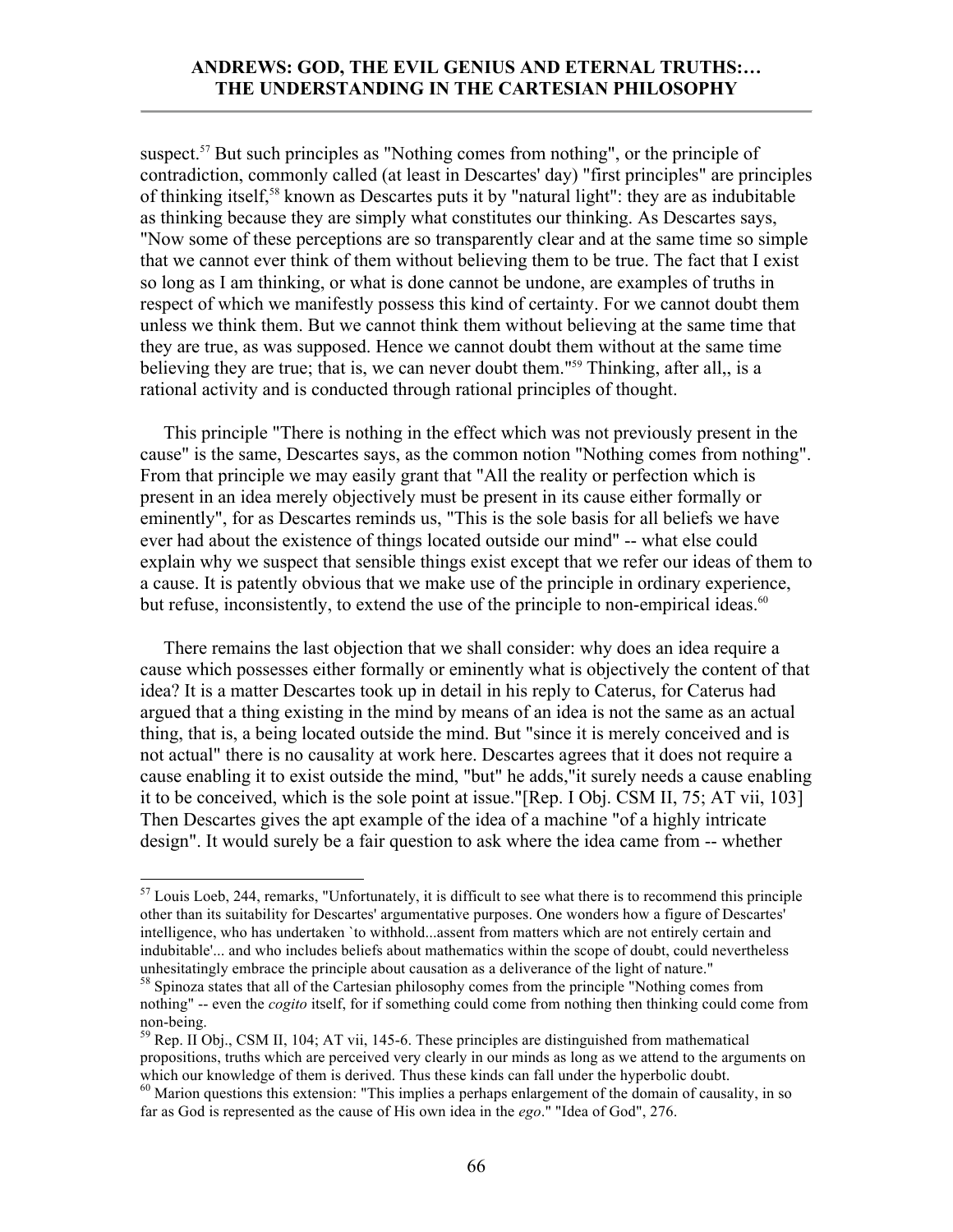suspect.<sup>57</sup> But such principles as "Nothing comes from nothing", or the principle of contradiction, commonly called (at least in Descartes' day) "first principles" are principles of thinking itself,58 known as Descartes puts it by "natural light": they are as indubitable as thinking because they are simply what constitutes our thinking. As Descartes says, "Now some of these perceptions are so transparently clear and at the same time so simple that we cannot ever think of them without believing them to be true. The fact that I exist so long as I am thinking, or what is done cannot be undone, are examples of truths in respect of which we manifestly possess this kind of certainty. For we cannot doubt them unless we think them. But we cannot think them without believing at the same time that they are true, as was supposed. Hence we cannot doubt them without at the same time believing they are true; that is, we can never doubt them."<sup>59</sup> Thinking, after all, is a rational activity and is conducted through rational principles of thought.

 This principle "There is nothing in the effect which was not previously present in the cause" is the same, Descartes says, as the common notion "Nothing comes from nothing". From that principle we may easily grant that "All the reality or perfection which is present in an idea merely objectively must be present in its cause either formally or eminently", for as Descartes reminds us, "This is the sole basis for all beliefs we have ever had about the existence of things located outside our mind" -- what else could explain why we suspect that sensible things exist except that we refer our ideas of them to a cause. It is patently obvious that we make use of the principle in ordinary experience, but refuse, inconsistently, to extend the use of the principle to non-empirical ideas.<sup>60</sup>

 There remains the last objection that we shall consider: why does an idea require a cause which possesses either formally or eminently what is objectively the content of that idea? It is a matter Descartes took up in detail in his reply to Caterus, for Caterus had argued that a thing existing in the mind by means of an idea is not the same as an actual thing, that is, a being located outside the mind. But "since it is merely conceived and is not actual" there is no causality at work here. Descartes agrees that it does not require a cause enabling it to exist outside the mind, "but" he adds,"it surely needs a cause enabling it to be conceived, which is the sole point at issue."[Rep. I Obj. CSM II, 75; AT vii, 103] Then Descartes gives the apt example of the idea of a machine "of a highly intricate design". It would surely be a fair question to ask where the idea came from -- whether

 $57$  Louis Loeb, 244, remarks, "Unfortunately, it is difficult to see what there is to recommend this principle other than its suitability for Descartes' argumentative purposes. One wonders how a figure of Descartes' intelligence, who has undertaken `to withhold...assent from matters which are not entirely certain and indubitable'... and who includes beliefs about mathematics within the scope of doubt, could nevertheless unhesitatingly embrace the principle about causation as a deliverance of the light of nature." 58 Spinoza states that all of the Cartesian philosophy comes from the principle "Nothing comes from

nothing" -- even the *cogito* itself, for if something could come from nothing then thinking could come from

 $^{59}$  Rep. II Obj., CSM II, 104; AT vii, 145-6. These principles are distinguished from mathematical propositions, truths which are perceived very clearly in our minds as long as we attend to the arguments on which our knowledge of them is derived. Thus these kinds can fall under the hyperbolic doubt.

 $60$  Marion questions this extension: "This implies a perhaps enlargement of the domain of causality, in so far as God is represented as the cause of His own idea in the *ego*." "Idea of God", 276.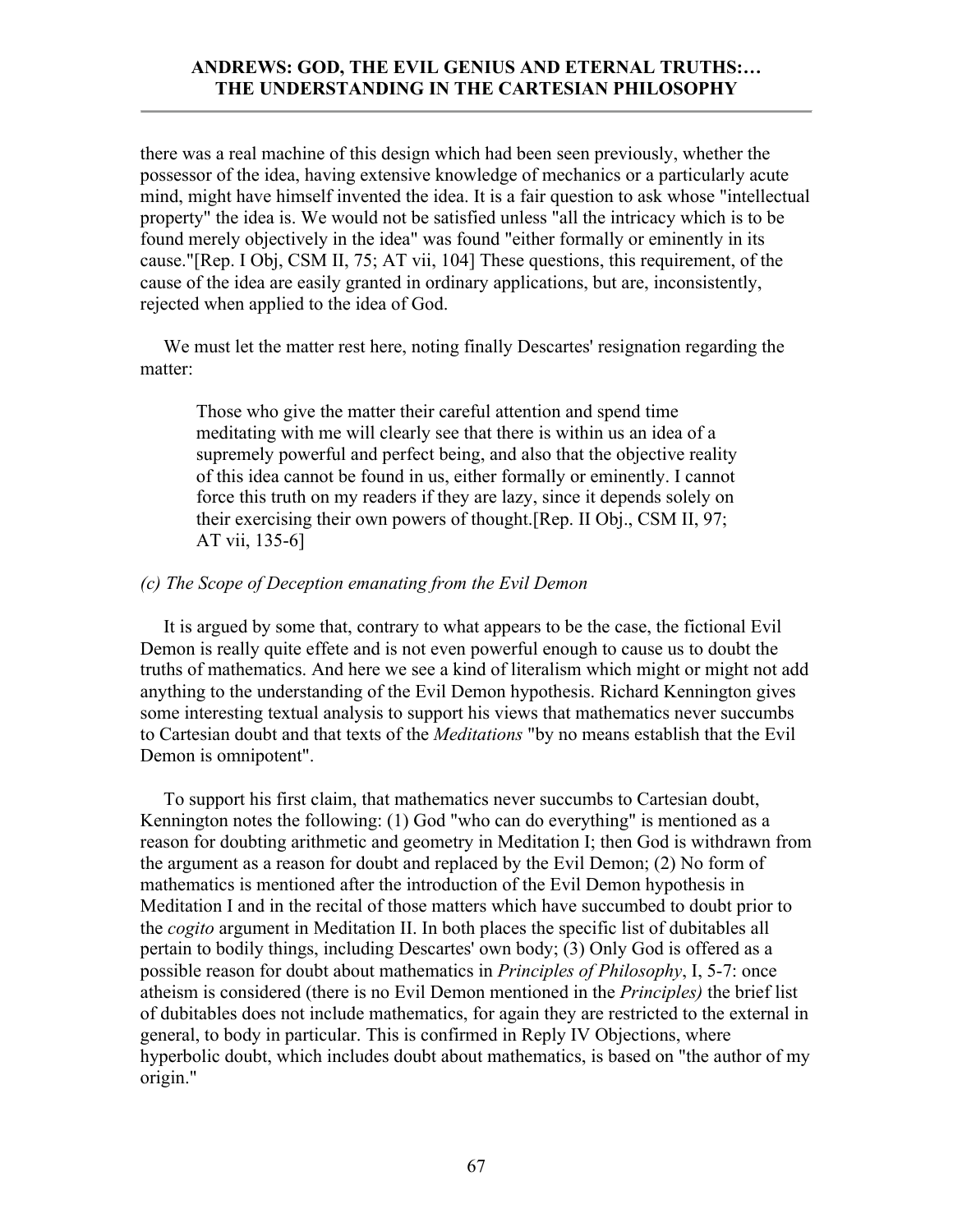there was a real machine of this design which had been seen previously, whether the possessor of the idea, having extensive knowledge of mechanics or a particularly acute mind, might have himself invented the idea. It is a fair question to ask whose "intellectual property" the idea is. We would not be satisfied unless "all the intricacy which is to be found merely objectively in the idea" was found "either formally or eminently in its cause."[Rep. I Obj, CSM II, 75; AT vii, 104] These questions, this requirement, of the cause of the idea are easily granted in ordinary applications, but are, inconsistently, rejected when applied to the idea of God.

 We must let the matter rest here, noting finally Descartes' resignation regarding the matter:

Those who give the matter their careful attention and spend time meditating with me will clearly see that there is within us an idea of a supremely powerful and perfect being, and also that the objective reality of this idea cannot be found in us, either formally or eminently. I cannot force this truth on my readers if they are lazy, since it depends solely on their exercising their own powers of thought.[Rep. II Obj., CSM II, 97; AT vii, 135-6]

### *(c) The Scope of Deception emanating from the Evil Demon*

 It is argued by some that, contrary to what appears to be the case, the fictional Evil Demon is really quite effete and is not even powerful enough to cause us to doubt the truths of mathematics. And here we see a kind of literalism which might or might not add anything to the understanding of the Evil Demon hypothesis. Richard Kennington gives some interesting textual analysis to support his views that mathematics never succumbs to Cartesian doubt and that texts of the *Meditations* "by no means establish that the Evil Demon is omnipotent".

 To support his first claim, that mathematics never succumbs to Cartesian doubt, Kennington notes the following: (1) God "who can do everything" is mentioned as a reason for doubting arithmetic and geometry in Meditation I; then God is withdrawn from the argument as a reason for doubt and replaced by the Evil Demon; (2) No form of mathematics is mentioned after the introduction of the Evil Demon hypothesis in Meditation I and in the recital of those matters which have succumbed to doubt prior to the *cogito* argument in Meditation II. In both places the specific list of dubitables all pertain to bodily things, including Descartes' own body; (3) Only God is offered as a possible reason for doubt about mathematics in *Principles of Philosophy*, I, 5-7: once atheism is considered (there is no Evil Demon mentioned in the *Principles)* the brief list of dubitables does not include mathematics, for again they are restricted to the external in general, to body in particular. This is confirmed in Reply IV Objections, where hyperbolic doubt, which includes doubt about mathematics, is based on "the author of my origin."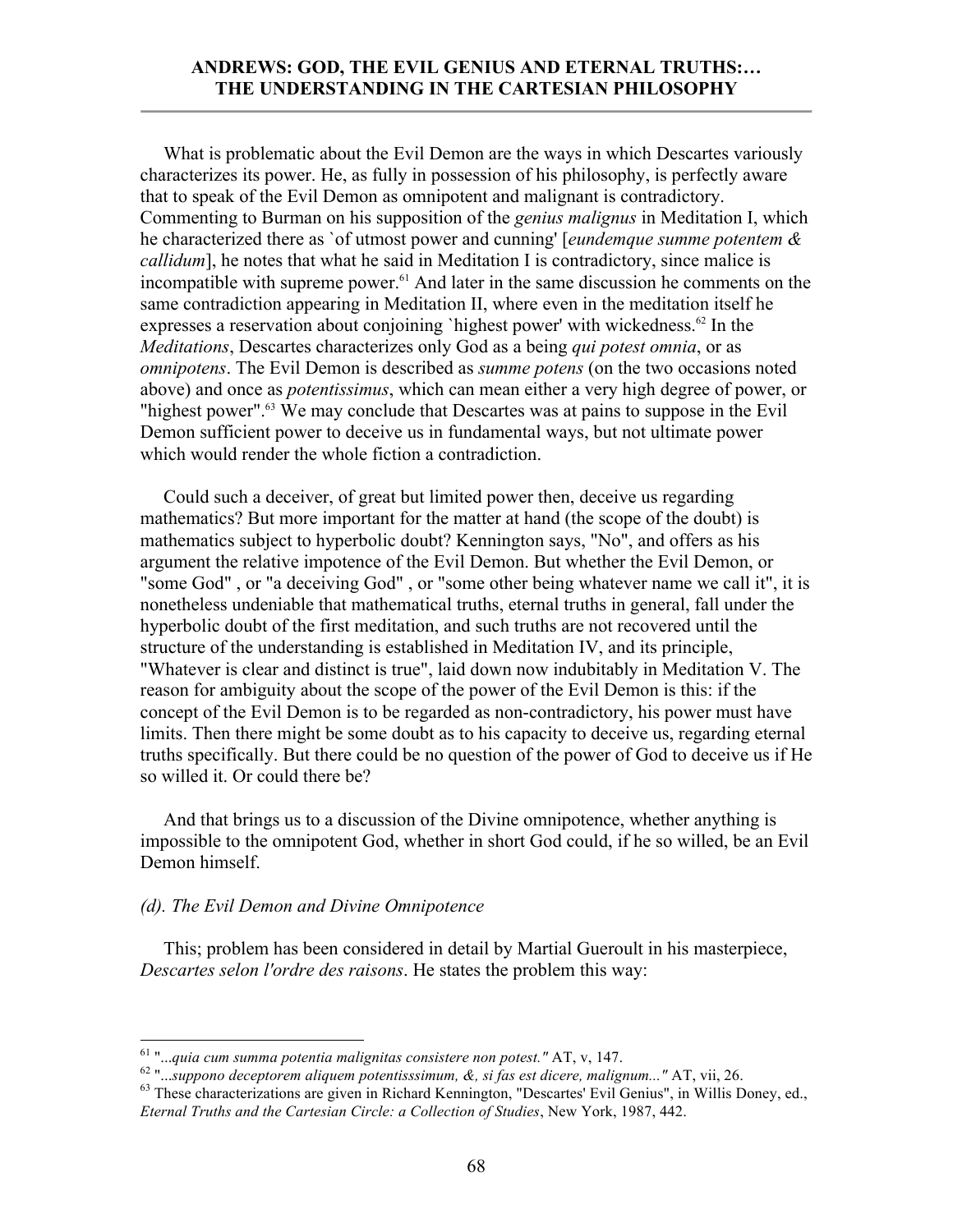What is problematic about the Evil Demon are the ways in which Descartes variously characterizes its power. He, as fully in possession of his philosophy, is perfectly aware that to speak of the Evil Demon as omnipotent and malignant is contradictory. Commenting to Burman on his supposition of the *genius malignus* in Meditation I, which he characterized there as `of utmost power and cunning' [*eundemque summe potentem & callidum*], he notes that what he said in Meditation I is contradictory, since malice is incompatible with supreme power.<sup>61</sup> And later in the same discussion he comments on the same contradiction appearing in Meditation II, where even in the meditation itself he expresses a reservation about conjoining 'highest power' with wickedness.<sup>62</sup> In the *Meditations*, Descartes characterizes only God as a being *qui potest omnia*, or as *omnipotens*. The Evil Demon is described as *summe potens* (on the two occasions noted above) and once as *potentissimus*, which can mean either a very high degree of power, or "highest power".<sup>63</sup> We may conclude that Descartes was at pains to suppose in the Evil Demon sufficient power to deceive us in fundamental ways, but not ultimate power which would render the whole fiction a contradiction.

 Could such a deceiver, of great but limited power then, deceive us regarding mathematics? But more important for the matter at hand (the scope of the doubt) is mathematics subject to hyperbolic doubt? Kennington says, "No", and offers as his argument the relative impotence of the Evil Demon. But whether the Evil Demon, or "some God" , or "a deceiving God" , or "some other being whatever name we call it", it is nonetheless undeniable that mathematical truths, eternal truths in general, fall under the hyperbolic doubt of the first meditation, and such truths are not recovered until the structure of the understanding is established in Meditation IV, and its principle, "Whatever is clear and distinct is true", laid down now indubitably in Meditation V. The reason for ambiguity about the scope of the power of the Evil Demon is this: if the concept of the Evil Demon is to be regarded as non-contradictory, his power must have limits. Then there might be some doubt as to his capacity to deceive us, regarding eternal truths specifically. But there could be no question of the power of God to deceive us if He so willed it. Or could there be?

 And that brings us to a discussion of the Divine omnipotence, whether anything is impossible to the omnipotent God, whether in short God could, if he so willed, be an Evil Demon himself.

#### *(d). The Evil Demon and Divine Omnipotence*

 This; problem has been considered in detail by Martial Gueroult in his masterpiece, *Descartes selon l'ordre des raisons*. He states the problem this way:

<sup>&</sup>lt;sup>61</sup> "...quia cum summa potentia malignitas consistere non potest." AT, v, 147.<br><sup>62</sup> "...suppono deceptorem aliquem potentisssimum, &, si fas est dicere, malignum..." AT, vii, 26.<br><sup>63</sup> These characterizations are given in *Eternal Truths and the Cartesian Circle: a Collection of Studies*, New York, 1987, 442.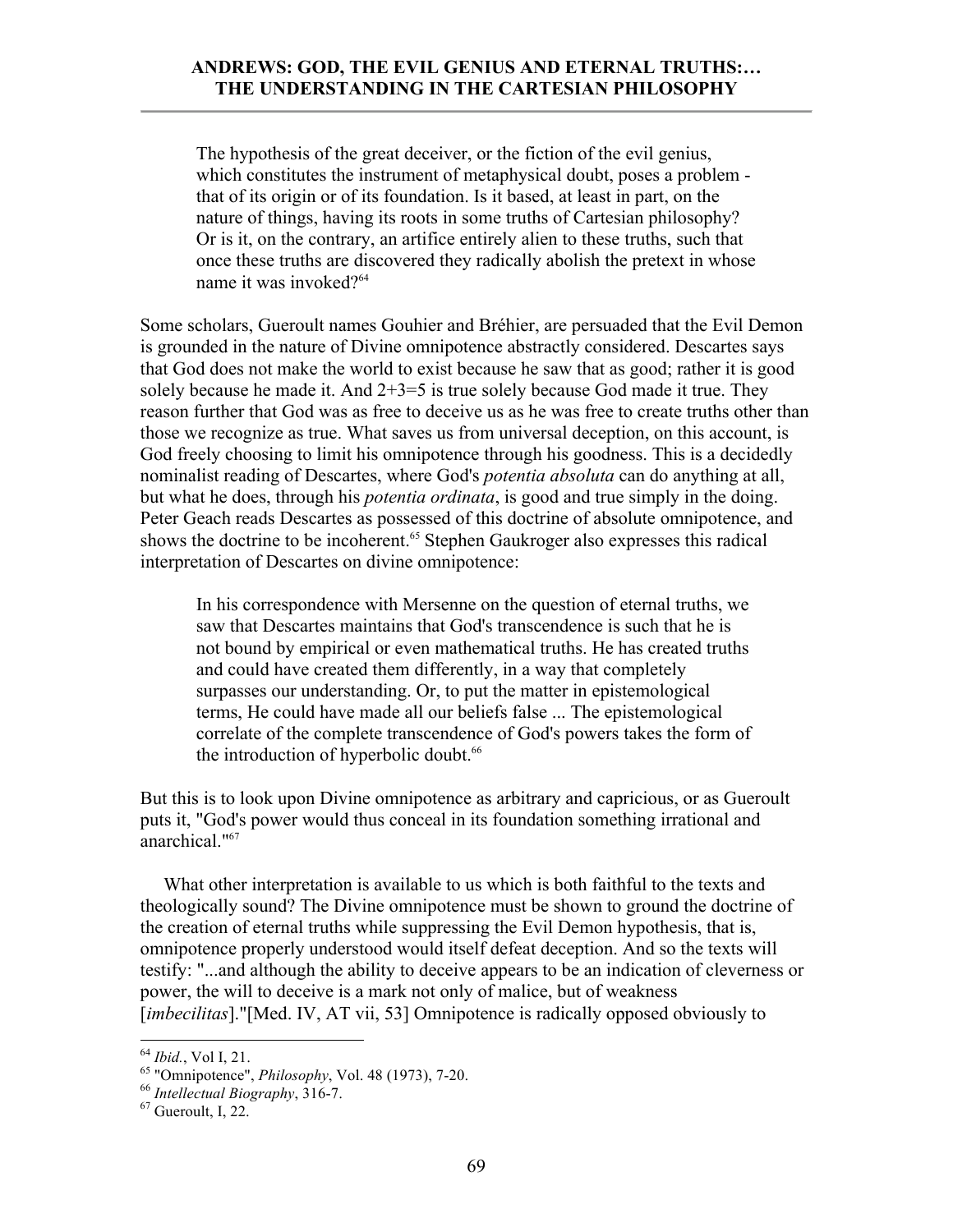The hypothesis of the great deceiver, or the fiction of the evil genius, which constitutes the instrument of metaphysical doubt, poses a problem that of its origin or of its foundation. Is it based, at least in part, on the nature of things, having its roots in some truths of Cartesian philosophy? Or is it, on the contrary, an artifice entirely alien to these truths, such that once these truths are discovered they radically abolish the pretext in whose name it was invoked?<sup>64</sup>

Some scholars, Gueroult names Gouhier and Bréhier, are persuaded that the Evil Demon is grounded in the nature of Divine omnipotence abstractly considered. Descartes says that God does not make the world to exist because he saw that as good; rather it is good solely because he made it. And  $2+3=5$  is true solely because God made it true. They reason further that God was as free to deceive us as he was free to create truths other than those we recognize as true. What saves us from universal deception, on this account, is God freely choosing to limit his omnipotence through his goodness. This is a decidedly nominalist reading of Descartes, where God's *potentia absoluta* can do anything at all, but what he does, through his *potentia ordinata*, is good and true simply in the doing. Peter Geach reads Descartes as possessed of this doctrine of absolute omnipotence, and shows the doctrine to be incoherent.<sup>65</sup> Stephen Gaukroger also expresses this radical interpretation of Descartes on divine omnipotence:

In his correspondence with Mersenne on the question of eternal truths, we saw that Descartes maintains that God's transcendence is such that he is not bound by empirical or even mathematical truths. He has created truths and could have created them differently, in a way that completely surpasses our understanding. Or, to put the matter in epistemological terms, He could have made all our beliefs false ... The epistemological correlate of the complete transcendence of God's powers takes the form of the introduction of hyperbolic doubt.<sup>66</sup>

But this is to look upon Divine omnipotence as arbitrary and capricious, or as Gueroult puts it, "God's power would thus conceal in its foundation something irrational and anarchical."<sup>67</sup>

 What other interpretation is available to us which is both faithful to the texts and theologically sound? The Divine omnipotence must be shown to ground the doctrine of the creation of eternal truths while suppressing the Evil Demon hypothesis, that is, omnipotence properly understood would itself defeat deception. And so the texts will testify: "...and although the ability to deceive appears to be an indication of cleverness or power, the will to deceive is a mark not only of malice, but of weakness [*imbecilitas*]."[Med. IV, AT vii, 53] Omnipotence is radically opposed obviously to

<sup>&</sup>lt;sup>64</sup> *Ibid.*, Vol I, 21.<br><sup>65</sup> "Omnipotence", *Philosophy*, Vol. 48 (1973), 7-20.<br><sup>66</sup> *Intellectual Biography*, 316-7.<br><sup>67</sup> Gueroult, I, 22.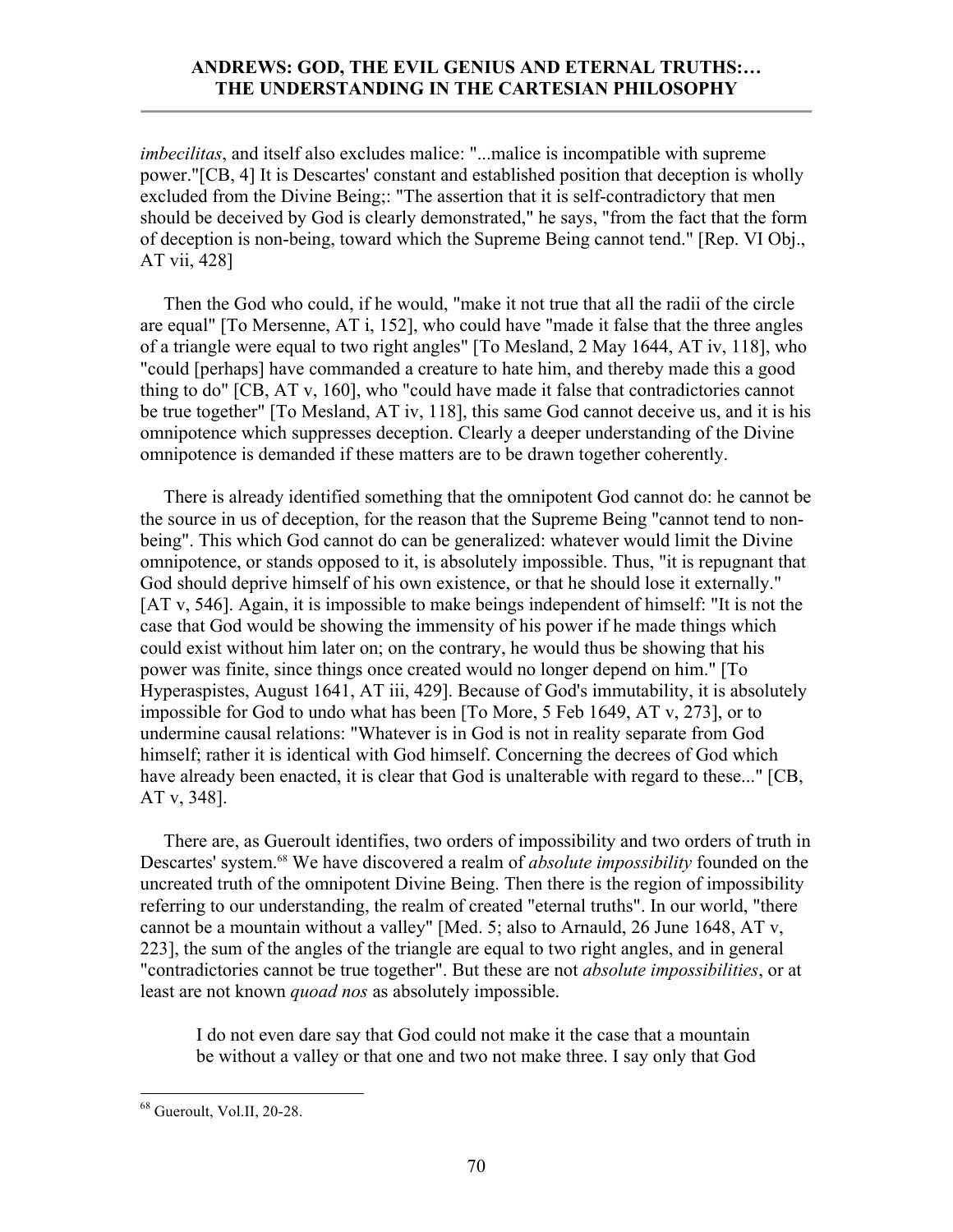*imbecilitas*, and itself also excludes malice: "...malice is incompatible with supreme power."[CB, 4] It is Descartes' constant and established position that deception is wholly excluded from the Divine Being;: "The assertion that it is self-contradictory that men should be deceived by God is clearly demonstrated," he says, "from the fact that the form of deception is non-being, toward which the Supreme Being cannot tend." [Rep. VI Obj., AT vii, 428]

 Then the God who could, if he would, "make it not true that all the radii of the circle are equal" [To Mersenne, AT i, 152], who could have "made it false that the three angles of a triangle were equal to two right angles" [To Mesland, 2 May 1644, AT iv, 118], who "could [perhaps] have commanded a creature to hate him, and thereby made this a good thing to do" [CB, AT v, 160], who "could have made it false that contradictories cannot be true together" [To Mesland, AT iv, 118], this same God cannot deceive us, and it is his omnipotence which suppresses deception. Clearly a deeper understanding of the Divine omnipotence is demanded if these matters are to be drawn together coherently.

 There is already identified something that the omnipotent God cannot do: he cannot be the source in us of deception, for the reason that the Supreme Being "cannot tend to nonbeing". This which God cannot do can be generalized: whatever would limit the Divine omnipotence, or stands opposed to it, is absolutely impossible. Thus, "it is repugnant that God should deprive himself of his own existence, or that he should lose it externally." [AT v, 546]. Again, it is impossible to make beings independent of himself: "It is not the case that God would be showing the immensity of his power if he made things which could exist without him later on; on the contrary, he would thus be showing that his power was finite, since things once created would no longer depend on him." [To Hyperaspistes, August 1641, AT iii, 429]. Because of God's immutability, it is absolutely impossible for God to undo what has been [To More, 5 Feb 1649, AT v, 273], or to undermine causal relations: "Whatever is in God is not in reality separate from God himself; rather it is identical with God himself. Concerning the decrees of God which have already been enacted, it is clear that God is unalterable with regard to these..." [CB, AT v, 348].

 There are, as Gueroult identifies, two orders of impossibility and two orders of truth in Descartes' system.<sup>68</sup> We have discovered a realm of *absolute impossibility* founded on the uncreated truth of the omnipotent Divine Being. Then there is the region of impossibility referring to our understanding, the realm of created "eternal truths". In our world, "there cannot be a mountain without a valley" [Med. 5; also to Arnauld, 26 June 1648, AT v, 223], the sum of the angles of the triangle are equal to two right angles, and in general "contradictories cannot be true together". But these are not *absolute impossibilities*, or at least are not known *quoad nos* as absolutely impossible.

I do not even dare say that God could not make it the case that a mountain be without a valley or that one and two not make three. I say only that God

 <sup>68</sup> Gueroult, Vol.II, 20-28.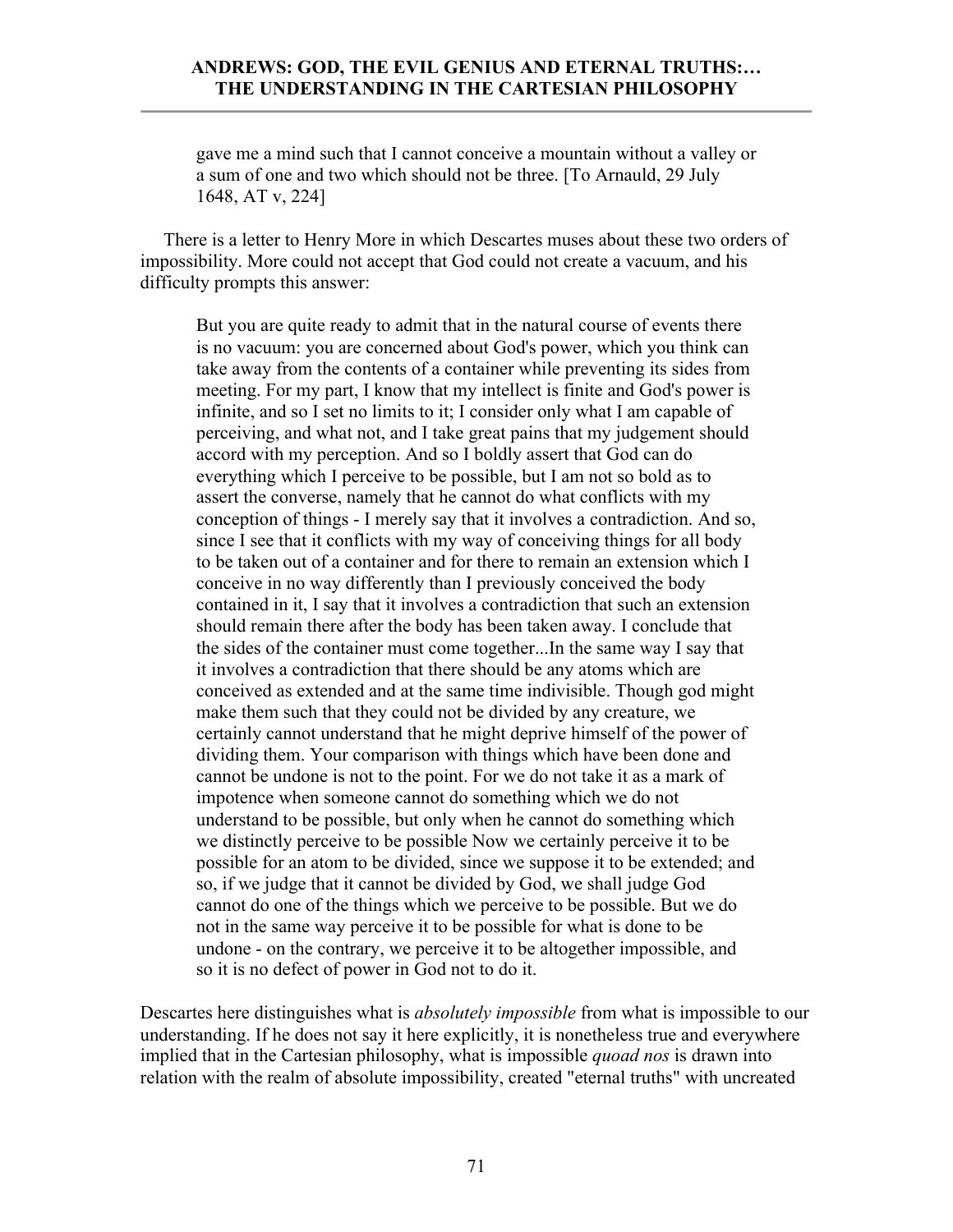gave me a mind such that I cannot conceive a mountain without a valley or a sum of one and two which should not be three. [To Arnauld, 29 July 1648, AT v, 224]

 There is a letter to Henry More in which Descartes muses about these two orders of impossibility. More could not accept that God could not create a vacuum, and his difficulty prompts this answer:

But you are quite ready to admit that in the natural course of events there is no vacuum: you are concerned about God's power, which you think can take away from the contents of a container while preventing its sides from meeting. For my part, I know that my intellect is finite and God's power is infinite, and so I set no limits to it; I consider only what I am capable of perceiving, and what not, and I take great pains that my judgement should accord with my perception. And so I boldly assert that God can do everything which I perceive to be possible, but I am not so bold as to assert the converse, namely that he cannot do what conflicts with my conception of things - I merely say that it involves a contradiction. And so, since I see that it conflicts with my way of conceiving things for all body to be taken out of a container and for there to remain an extension which I conceive in no way differently than I previously conceived the body contained in it, I say that it involves a contradiction that such an extension should remain there after the body has been taken away. I conclude that the sides of the container must come together...In the same way I say that it involves a contradiction that there should be any atoms which are conceived as extended and at the same time indivisible. Though god might make them such that they could not be divided by any creature, we certainly cannot understand that he might deprive himself of the power of dividing them. Your comparison with things which have been done and cannot be undone is not to the point. For we do not take it as a mark of impotence when someone cannot do something which we do not understand to be possible, but only when he cannot do something which we distinctly perceive to be possible Now we certainly perceive it to be possible for an atom to be divided, since we suppose it to be extended; and so, if we judge that it cannot be divided by God, we shall judge God cannot do one of the things which we perceive to be possible. But we do not in the same way perceive it to be possible for what is done to be undone - on the contrary, we perceive it to be altogether impossible, and so it is no defect of power in God not to do it.

Descartes here distinguishes what is *absolutely impossible* from what is impossible to our understanding. If he does not say it here explicitly, it is nonetheless true and everywhere implied that in the Cartesian philosophy, what is impossible *quoad nos* is drawn into relation with the realm of absolute impossibility, created "eternal truths" with uncreated